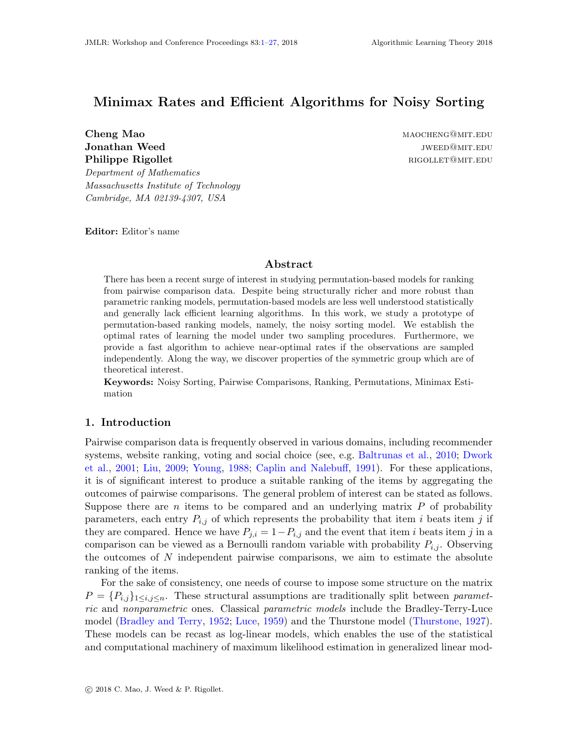# <span id="page-0-0"></span>Minimax Rates and Efficient Algorithms for Noisy Sorting

Jonathan Weed and the settlement of the settlement of the settlement of the settlement of the settlement of the settlement of the settlement of the settlement of the settlement of the settlement of the settlement of the se Philippe Rigollet rigoritation in the contract rigoritation of the contract  $\mathbf{R}$  resolution in the contract of the contract of the contract of the contract of the contract of the contract of the contract of the contrac Department of Mathematics

Cheng Mao maocheng@mit.edu

Editor: Editor's name

Massachusetts Institute of Technology Cambridge, MA 02139-4307, USA

# Abstract

There has been a recent surge of interest in studying permutation-based models for ranking from pairwise comparison data. Despite being structurally richer and more robust than parametric ranking models, permutation-based models are less well understood statistically and generally lack efficient learning algorithms. In this work, we study a prototype of permutation-based ranking models, namely, the noisy sorting model. We establish the optimal rates of learning the model under two sampling procedures. Furthermore, we provide a fast algorithm to achieve near-optimal rates if the observations are sampled independently. Along the way, we discover properties of the symmetric group which are of theoretical interest.

Keywords: Noisy Sorting, Pairwise Comparisons, Ranking, Permutations, Minimax Estimation

### 1. Introduction

Pairwise comparison data is frequently observed in various domains, including recommender systems, website ranking, voting and social choice (see, e.g. [Baltrunas et al.,](#page-11-0) [2010;](#page-11-0) [Dwork](#page-12-0) [et al.,](#page-12-0) [2001;](#page-12-0) [Liu,](#page-12-1) [2009;](#page-12-1) [Young,](#page-14-0) [1988;](#page-14-0) [Caplin and Nalebuff,](#page-12-2) [1991\)](#page-12-2). For these applications, it is of significant interest to produce a suitable ranking of the items by aggregating the outcomes of pairwise comparisons. The general problem of interest can be stated as follows. Suppose there are  $n$  items to be compared and an underlying matrix  $P$  of probability parameters, each entry  $P_{i,j}$  of which represents the probability that item i beats item j if they are compared. Hence we have  $P_{j,i} = 1 - P_{i,j}$  and the event that item i beats item j in a comparison can be viewed as a Bernoulli random variable with probability  $P_{i,j}$ . Observing the outcomes of  $N$  independent pairwise comparisons, we aim to estimate the absolute ranking of the items.

For the sake of consistency, one needs of course to impose some structure on the matrix  $P = \{P_{i,j}\}_{1 \leq i,j \leq n}$ . These structural assumptions are traditionally split between parametric and nonparametric ones. Classical parametric models include the Bradley-Terry-Luce model [\(Bradley and Terry,](#page-11-1) [1952;](#page-11-1) [Luce,](#page-13-0) [1959\)](#page-13-0) and the Thurstone model [\(Thurstone,](#page-14-1) [1927\)](#page-14-1). These models can be recast as log-linear models, which enables the use of the statistical and computational machinery of maximum likelihood estimation in generalized linear mod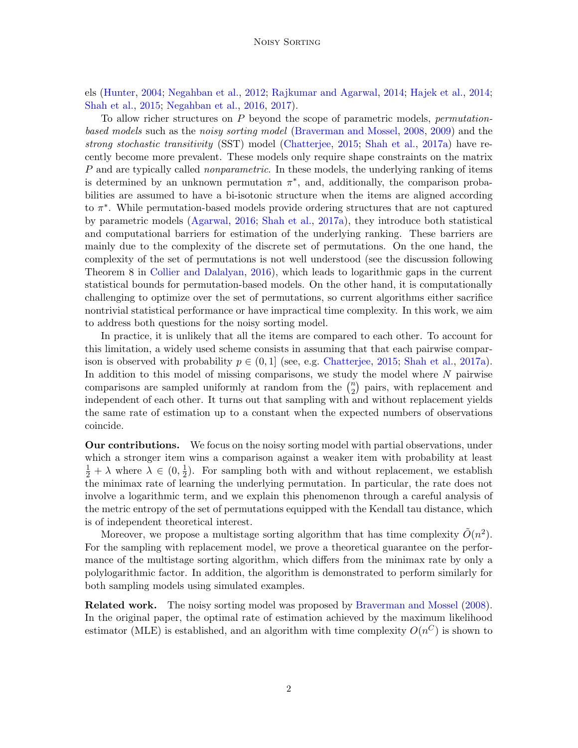els [\(Hunter,](#page-12-3) [2004;](#page-12-3) [Negahban et al.,](#page-13-1) [2012;](#page-13-1) [Rajkumar and Agarwal,](#page-13-2) [2014;](#page-13-2) [Hajek et al.,](#page-12-4) [2014;](#page-12-4) [Shah et al.,](#page-14-2) [2015;](#page-14-2) [Negahban et al.,](#page-13-3) [2016,](#page-13-3) [2017\)](#page-13-4).

To allow richer structures on  $P$  beyond the scope of parametric models, *permutation*based models such as the noisy sorting model [\(Braverman and Mossel,](#page-11-2) [2008,](#page-11-2) [2009\)](#page-11-3) and the strong stochastic transitivity (SST) model [\(Chatterjee,](#page-12-5) [2015;](#page-12-5) [Shah et al.,](#page-14-3) [2017a\)](#page-14-3) have recently become more prevalent. These models only require shape constraints on the matrix P and are typically called *nonparametric*. In these models, the underlying ranking of items is determined by an unknown permutation  $\pi^*$ , and, additionally, the comparison probabilities are assumed to have a bi-isotonic structure when the items are aligned according to  $\pi^*$ . While permutation-based models provide ordering structures that are not captured by parametric models [\(Agarwal,](#page-11-4) [2016;](#page-11-4) [Shah et al.,](#page-14-3) [2017a\)](#page-14-3), they introduce both statistical and computational barriers for estimation of the underlying ranking. These barriers are mainly due to the complexity of the discrete set of permutations. On the one hand, the complexity of the set of permutations is not well understood (see the discussion following Theorem 8 in [Collier and Dalalyan,](#page-12-6) [2016\)](#page-12-6), which leads to logarithmic gaps in the current statistical bounds for permutation-based models. On the other hand, it is computationally challenging to optimize over the set of permutations, so current algorithms either sacrifice nontrivial statistical performance or have impractical time complexity. In this work, we aim to address both questions for the noisy sorting model.

In practice, it is unlikely that all the items are compared to each other. To account for this limitation, a widely used scheme consists in assuming that that each pairwise comparison is observed with probability  $p \in (0,1]$  (see, e.g. [Chatterjee,](#page-12-5) [2015;](#page-12-5) [Shah et al.,](#page-14-3) [2017a\)](#page-14-3). In addition to this model of missing comparisons, we study the model where  $N$  pairwise comparisons are sampled uniformly at random from the  $\binom{n}{2}$  $\binom{n}{2}$  pairs, with replacement and independent of each other. It turns out that sampling with and without replacement yields the same rate of estimation up to a constant when the expected numbers of observations coincide.

Our contributions. We focus on the noisy sorting model with partial observations, under which a stronger item wins a comparison against a weaker item with probability at least  $\frac{1}{2} + \lambda$  where  $\lambda \in (0, \frac{1}{2})$  $\frac{1}{2}$ ). For sampling both with and without replacement, we establish the minimax rate of learning the underlying permutation. In particular, the rate does not involve a logarithmic term, and we explain this phenomenon through a careful analysis of the metric entropy of the set of permutations equipped with the Kendall tau distance, which is of independent theoretical interest.

Moreover, we propose a multistage sorting algorithm that has time complexity  $\tilde{O}(n^2)$ . For the sampling with replacement model, we prove a theoretical guarantee on the performance of the multistage sorting algorithm, which differs from the minimax rate by only a polylogarithmic factor. In addition, the algorithm is demonstrated to perform similarly for both sampling models using simulated examples.

Related work. The noisy sorting model was proposed by [Braverman and Mossel](#page-11-2) [\(2008\)](#page-11-2). In the original paper, the optimal rate of estimation achieved by the maximum likelihood estimator (MLE) is established, and an algorithm with time complexity  $O(n^C)$  is shown to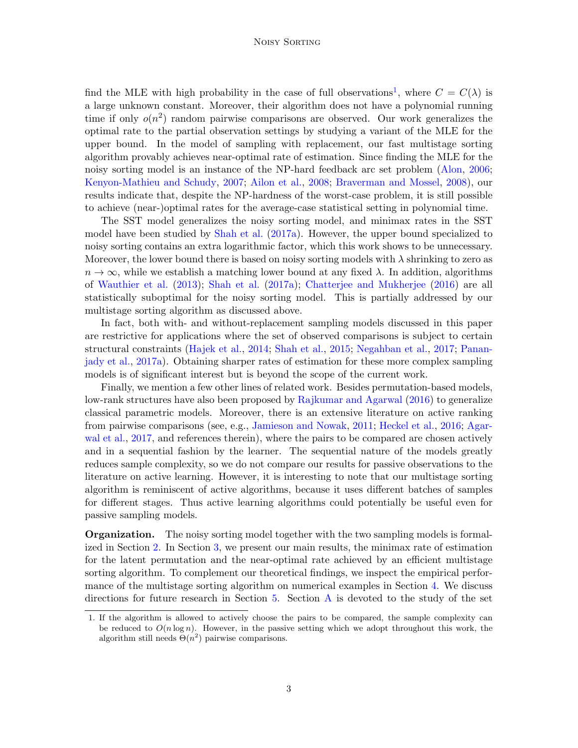#### Noisy Sorting

find the MLE with high probability in the case of full observations<sup>[1](#page-2-0)</sup>, where  $C = C(\lambda)$  is a large unknown constant. Moreover, their algorithm does not have a polynomial running time if only  $o(n^2)$  random pairwise comparisons are observed. Our work generalizes the optimal rate to the partial observation settings by studying a variant of the MLE for the upper bound. In the model of sampling with replacement, our fast multistage sorting algorithm provably achieves near-optimal rate of estimation. Since finding the MLE for the noisy sorting model is an instance of the NP-hard feedback arc set problem [\(Alon,](#page-11-5) [2006;](#page-11-5) [Kenyon-Mathieu and Schudy,](#page-12-7) [2007;](#page-12-7) [Ailon et al.,](#page-11-6) [2008;](#page-11-6) [Braverman and Mossel,](#page-11-2) [2008\)](#page-11-2), our results indicate that, despite the NP-hardness of the worst-case problem, it is still possible to achieve (near-)optimal rates for the average-case statistical setting in polynomial time.

The SST model generalizes the noisy sorting model, and minimax rates in the SST model have been studied by [Shah et al.](#page-14-3) [\(2017a\)](#page-14-3). However, the upper bound specialized to noisy sorting contains an extra logarithmic factor, which this work shows to be unnecessary. Moreover, the lower bound there is based on noisy sorting models with  $\lambda$  shrinking to zero as  $n \to \infty$ , while we establish a matching lower bound at any fixed  $\lambda$ . In addition, algorithms of [Wauthier et al.](#page-14-4) [\(2013\)](#page-14-4); [Shah et al.](#page-14-3) [\(2017a\)](#page-14-3); [Chatterjee and Mukherjee](#page-12-8) [\(2016\)](#page-12-8) are all statistically suboptimal for the noisy sorting model. This is partially addressed by our multistage sorting algorithm as discussed above.

In fact, both with- and without-replacement sampling models discussed in this paper are restrictive for applications where the set of observed comparisons is subject to certain structural constraints [\(Hajek et al.,](#page-12-4) [2014;](#page-12-4) [Shah et al.,](#page-14-2) [2015;](#page-14-2) [Negahban et al.,](#page-13-4) [2017;](#page-13-4) [Panan](#page-13-5)[jady et al.,](#page-13-5) [2017a\)](#page-13-5). Obtaining sharper rates of estimation for these more complex sampling models is of significant interest but is beyond the scope of the current work.

Finally, we mention a few other lines of related work. Besides permutation-based models, low-rank structures have also been proposed by [Rajkumar and Agarwal](#page-13-6) [\(2016\)](#page-13-6) to generalize classical parametric models. Moreover, there is an extensive literature on active ranking from pairwise comparisons (see, e.g., [Jamieson and Nowak,](#page-12-9) [2011;](#page-12-9) [Heckel et al.,](#page-12-10) [2016;](#page-12-10) [Agar](#page-11-7)[wal et al.,](#page-11-7) [2017,](#page-11-7) and references therein), where the pairs to be compared are chosen actively and in a sequential fashion by the learner. The sequential nature of the models greatly reduces sample complexity, so we do not compare our results for passive observations to the literature on active learning. However, it is interesting to note that our multistage sorting algorithm is reminiscent of active algorithms, because it uses different batches of samples for different stages. Thus active learning algorithms could potentially be useful even for passive sampling models.

Organization. The noisy sorting model together with the two sampling models is formalized in Section [2.](#page-3-0) In Section [3,](#page-5-0) we present our main results, the minimax rate of estimation for the latent permutation and the near-optimal rate achieved by an efficient multistage sorting algorithm. To complement our theoretical findings, we inspect the empirical performance of the multistage sorting algorithm on numerical examples in Section [4.](#page-8-0) We discuss directions for future research in Section [5.](#page-10-0) Section [A](#page-14-5) is devoted to the study of the set

<span id="page-2-0"></span><sup>1.</sup> If the algorithm is allowed to actively choose the pairs to be compared, the sample complexity can be reduced to  $O(n \log n)$ . However, in the passive setting which we adopt throughout this work, the algorithm still needs  $\Theta(n^2)$  pairwise comparisons.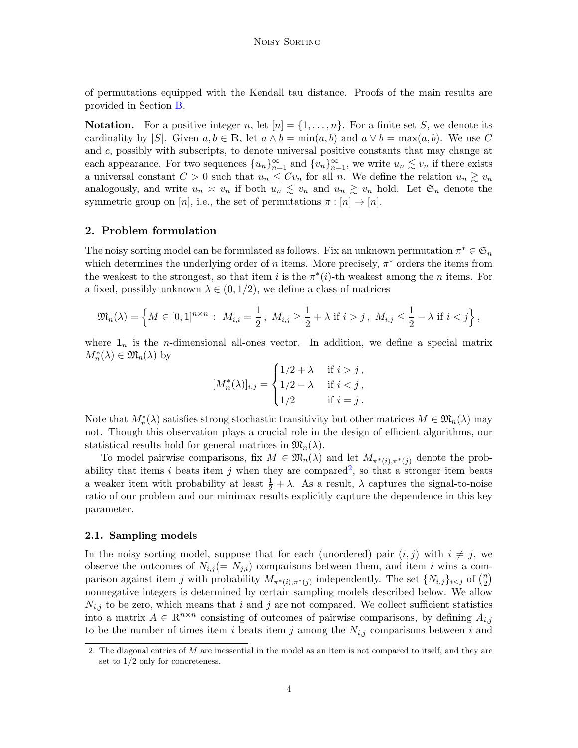of permutations equipped with the Kendall tau distance. Proofs of the main results are provided in Section [B.](#page-16-0)

**Notation.** For a positive integer n, let  $[n] = \{1, \ldots, n\}$ . For a finite set S, we denote its cardinality by |S|. Given  $a, b \in \mathbb{R}$ , let  $a \wedge b = \min(a, b)$  and  $a \vee b = \max(a, b)$ . We use C and c, possibly with subscripts, to denote universal positive constants that may change at each appearance. For two sequences  ${u_n}_{n=1}^{\infty}$  and  ${v_n}_{n=1}^{\infty}$ , we write  $u_n \lesssim v_n$  if there exists a universal constant  $C > 0$  such that  $u_n \leq Cv_n$  for all n. We define the relation  $u_n \gtrsim v_n$ analogously, and write  $u_n \simeq v_n$  if both  $u_n \lesssim v_n$  and  $u_n \gtrsim v_n$  hold. Let  $\mathfrak{S}_n$  denote the symmetric group on [n], i.e., the set of permutations  $\pi : [n] \to [n]$ .

### <span id="page-3-0"></span>2. Problem formulation

The noisy sorting model can be formulated as follows. Fix an unknown permutation  $\pi^* \in \mathfrak{S}_n$ which determines the underlying order of n items. More precisely,  $\pi^*$  orders the items from the weakest to the strongest, so that item i is the  $\pi^*(i)$ -th weakest among the n items. For a fixed, possibly unknown  $\lambda \in (0, 1/2)$ , we define a class of matrices

$$
\mathfrak{M}_n(\lambda) = \left\{ M \in [0,1]^{n \times n} : M_{i,i} = \frac{1}{2}, M_{i,j} \ge \frac{1}{2} + \lambda \text{ if } i > j, M_{i,j} \le \frac{1}{2} - \lambda \text{ if } i < j \right\},\
$$

where  $\mathbf{1}_n$  is the *n*-dimensional all-ones vector. In addition, we define a special matrix  $M_n^*(\lambda) \in \mathfrak{M}_n(\lambda)$  by

$$
[M_n^*(\lambda)]_{i,j} = \begin{cases} 1/2 + \lambda & \text{if } i > j, \\ 1/2 - \lambda & \text{if } i < j, \\ 1/2 & \text{if } i = j. \end{cases}
$$

Note that  $M_n^*(\lambda)$  satisfies strong stochastic transitivity but other matrices  $M \in \mathfrak{M}_n(\lambda)$  may not. Though this observation plays a crucial role in the design of efficient algorithms, our statistical results hold for general matrices in  $\mathfrak{M}_n(\lambda)$ .

To model pairwise comparisons, fix  $M \in \mathfrak{M}_n(\lambda)$  and let  $M_{\pi^*(i), \pi^*(i)}$  denote the prob-ability that items i beats item j when they are compared<sup>[2](#page-3-1)</sup>, so that a stronger item beats a weaker item with probability at least  $\frac{1}{2} + \lambda$ . As a result,  $\lambda$  captures the signal-to-noise ratio of our problem and our minimax results explicitly capture the dependence in this key parameter.

#### 2.1. Sampling models

In the noisy sorting model, suppose that for each (unordered) pair  $(i, j)$  with  $i \neq j$ , we observe the outcomes of  $N_{i,j} (= N_{j,i})$  comparisons between them, and item i wins a comparison against item j with probability  $M_{\pi^*(i),\pi^*(j)}$  independently. The set  $\{N_{i,j}\}_{i\leq j}$  of  $\binom{n}{2}$  $\binom{n}{2}$ nonnegative integers is determined by certain sampling models described below. We allow  $N_{i,j}$  to be zero, which means that i and j are not compared. We collect sufficient statistics into a matrix  $A \in \mathbb{R}^{n \times n}$  consisting of outcomes of pairwise comparisons, by defining  $A_{i,j}$ to be the number of times item i beats item j among the  $N_{i,j}$  comparisons between i and

<span id="page-3-1"></span><sup>2.</sup> The diagonal entries of  $M$  are inessential in the model as an item is not compared to itself, and they are set to 1/2 only for concreteness.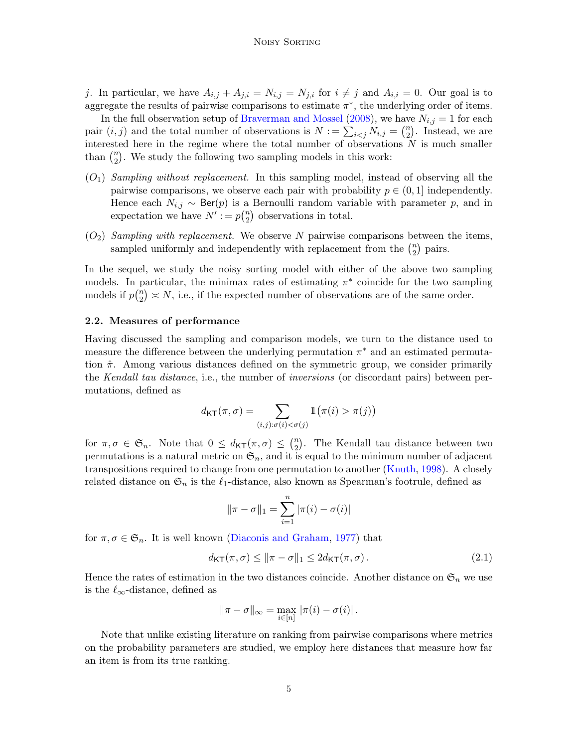#### Noisy Sorting

j. In particular, we have  $A_{i,j} + A_{j,i} = N_{i,j} = N_{j,i}$  for  $i \neq j$  and  $A_{i,i} = 0$ . Our goal is to aggregate the results of pairwise comparisons to estimate  $\pi^*$ , the underlying order of items.

In the full observation setup of [Braverman and Mossel](#page-11-2) [\(2008\)](#page-11-2), we have  $N_{i,j} = 1$  for each pair  $(i, j)$  and the total number of observations is  $N := \sum_{i < j} N_{i,j} = \binom{n}{2}$  $n \choose 2$ . Instead, we are interested here in the regime where the total number of observations  $N$  is much smaller than  $\binom{n}{2}$  $n_2$ ). We study the following two sampling models in this work:

- <span id="page-4-0"></span> $(O_1)$  Sampling without replacement. In this sampling model, instead of observing all the pairwise comparisons, we observe each pair with probability  $p \in (0,1]$  independently. Hence each  $N_{i,j} \sim \text{Ber}(p)$  is a Bernoulli random variable with parameter p, and in expectation we have  $N' := p\binom{n}{2}$  $n \choose 2$  observations in total.
- <span id="page-4-1"></span> $(O_2)$  Sampling with replacement. We observe N pairwise comparisons between the items, sampled uniformly and independently with replacement from the  $\binom{n}{2}$  $n \choose 2$  pairs.

In the sequel, we study the noisy sorting model with either of the above two sampling models. In particular, the minimax rates of estimating  $\pi^*$  coincide for the two sampling models if  $p\binom{n}{2}$  $\binom{n}{2} \asymp N$ , i.e., if the expected number of observations are of the same order.

#### 2.2. Measures of performance

Having discussed the sampling and comparison models, we turn to the distance used to measure the difference between the underlying permutation  $\pi^*$  and an estimated permutation  $\hat{\pi}$ . Among various distances defined on the symmetric group, we consider primarily the *Kendall tau distance*, i.e., the number of *inversions* (or discordant pairs) between permutations, defined as

$$
d_{\mathsf{KT}}(\pi,\sigma) = \sum_{(i,j):\sigma(i) < \sigma(j)} \mathbb{1}\big(\pi(i) > \pi(j)\big)
$$

for  $\pi, \sigma \in \mathfrak{S}_n$ . Note that  $0 \leq d_{\mathsf{KT}}(\pi, \sigma) \leq {n \choose 2}$  $n_2$ ). The Kendall tau distance between two permutations is a natural metric on  $\mathfrak{S}_n$ , and it is equal to the minimum number of adjacent transpositions required to change from one permutation to another [\(Knuth,](#page-12-11) [1998\)](#page-12-11). A closely related distance on  $\mathfrak{S}_n$  is the  $\ell_1$ -distance, also known as Spearman's footrule, defined as

$$
\|\pi - \sigma\|_1 = \sum_{i=1}^n |\pi(i) - \sigma(i)|
$$

for  $\pi, \sigma \in \mathfrak{S}_n$ . It is well known [\(Diaconis and Graham,](#page-12-12) [1977\)](#page-12-12) that

<span id="page-4-2"></span>
$$
d_{\mathsf{KT}}(\pi,\sigma) \le \|\pi - \sigma\|_1 \le 2d_{\mathsf{KT}}(\pi,\sigma). \tag{2.1}
$$

Hence the rates of estimation in the two distances coincide. Another distance on  $\mathfrak{S}_n$  we use is the  $\ell_{\infty}$ -distance, defined as

$$
\|\pi-\sigma\|_{\infty}=\max_{i\in[n]}\,|\pi(i)-\sigma(i)|\,.
$$

Note that unlike existing literature on ranking from pairwise comparisons where metrics on the probability parameters are studied, we employ here distances that measure how far an item is from its true ranking.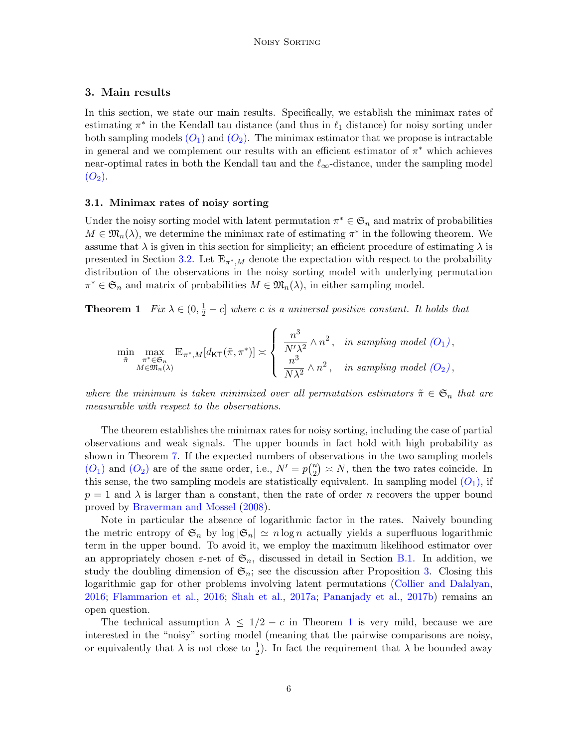# <span id="page-5-0"></span>3. Main results

In this section, we state our main results. Specifically, we establish the minimax rates of estimating  $\pi^*$  in the Kendall tau distance (and thus in  $\ell_1$  distance) for noisy sorting under both sampling models  $(O_1)$  $(O_1)$  $(O_1)$  and  $(O_2)$ . The minimax estimator that we propose is intractable in general and we complement our results with an efficient estimator of  $\pi^*$  which achieves near-optimal rates in both the Kendall tau and the  $\ell_{\infty}$ -distance, under the sampling model  $(O_2)$  $(O_2)$  $(O_2)$ .

#### 3.1. Minimax rates of noisy sorting

Under the noisy sorting model with latent permutation  $\pi^* \in \mathfrak{S}_n$  and matrix of probabilities  $M \in \mathfrak{M}_n(\lambda)$ , we determine the minimax rate of estimating  $\pi^*$  in the following theorem. We assume that  $\lambda$  is given in this section for simplicity; an efficient procedure of estimating  $\lambda$  is presented in Section [3.2.](#page-6-0) Let  $\mathbb{E}_{\pi^*,M}$  denote the expectation with respect to the probability distribution of the observations in the noisy sorting model with underlying permutation  $\pi^* \in \mathfrak{S}_n$  and matrix of probabilities  $M \in \mathfrak{M}_n(\lambda)$ , in either sampling model.

<span id="page-5-1"></span>**Theorem 1** Fix  $\lambda \in (0, \frac{1}{2} - c]$  where c is a universal positive constant. It holds that

$$
\min_{\tilde{\pi}} \max_{\substack{\pi^* \in \mathfrak{S}_n \\ M \in \mathfrak{M}_n(\lambda)}} \mathbb{E}_{\pi^*,M}[d_{\mathsf{KT}}(\tilde{\pi}, \pi^*)] \asymp \left\{ \begin{array}{ll} \frac{n^3}{N'\lambda^2} \wedge n^2, & \text{in sampling model } (O_1), \\ \frac{n^3}{N\lambda^2} \wedge n^2, & \text{in sampling model } (O_2), \end{array} \right.
$$

where the minimum is taken minimized over all permutation estimators  $\tilde{\pi} \in \mathfrak{S}_n$  that are measurable with respect to the observations.

The theorem establishes the minimax rates for noisy sorting, including the case of partial observations and weak signals. The upper bounds in fact hold with high probability as shown in Theorem [7.](#page-17-0) If the expected numbers of observations in the two sampling models  $(O_1)$  $(O_1)$  $(O_1)$  and  $(O_2)$  are of the same order, i.e.,  $N' = p\binom{n}{2}$  $\binom{n}{2} \times N$ , then the two rates coincide. In this sense, the two sampling models are statistically equivalent. In sampling model  $(O_1)$  $(O_1)$  $(O_1)$ , if  $p = 1$  and  $\lambda$  is larger than a constant, then the rate of order n recovers the upper bound proved by [Braverman and Mossel](#page-11-2) [\(2008\)](#page-11-2).

Note in particular the absence of logarithmic factor in the rates. Naively bounding the metric entropy of  $\mathfrak{S}_n$  by  $\log |\mathfrak{S}_n| \simeq n \log n$  actually yields a superfluous logarithmic term in the upper bound. To avoid it, we employ the maximum likelihood estimator over an appropriately chosen  $\varepsilon$ -net of  $\mathfrak{S}_n$ , discussed in detail in Section [B.1.](#page-17-1) In addition, we study the doubling dimension of  $\mathfrak{S}_n$ ; see the discussion after Proposition [3.](#page-14-6) Closing this logarithmic gap for other problems involving latent permutations [\(Collier and Dalalyan,](#page-12-6) [2016;](#page-12-6) [Flammarion et al.,](#page-12-13) [2016;](#page-12-13) [Shah et al.,](#page-14-3) [2017a;](#page-14-3) [Pananjady et al.,](#page-13-7) [2017b\)](#page-13-7) remains an open question.

The technical assumption  $\lambda \leq 1/2 - c$  $\lambda \leq 1/2 - c$  $\lambda \leq 1/2 - c$  in Theorem 1 is very mild, because we are interested in the "noisy" sorting model (meaning that the pairwise comparisons are noisy, or equivalently that  $\lambda$  is not close to  $\frac{1}{2}$ ). In fact the requirement that  $\lambda$  be bounded away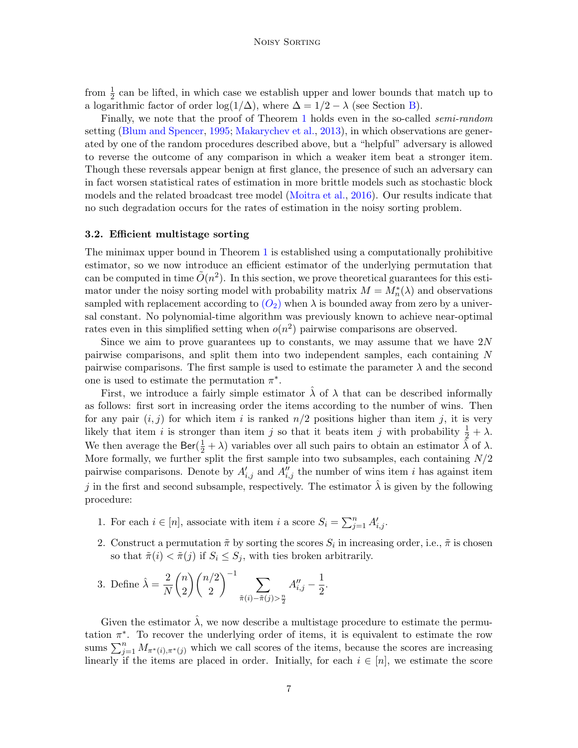from  $\frac{1}{2}$  can be lifted, in which case we establish upper and lower bounds that match up to a logarithmic factor of order log( $1/\Delta$ ), where  $\Delta = 1/2 - \lambda$  (see Section [B\)](#page-16-0).

Finally, we note that the proof of Theorem [1](#page-5-1) holds even in the so-called *semi-random* setting [\(Blum and Spencer,](#page-11-8) [1995;](#page-11-8) [Makarychev et al.,](#page-13-8) [2013\)](#page-13-8), in which observations are generated by one of the random procedures described above, but a "helpful" adversary is allowed to reverse the outcome of any comparison in which a weaker item beat a stronger item. Though these reversals appear benign at first glance, the presence of such an adversary can in fact worsen statistical rates of estimation in more brittle models such as stochastic block models and the related broadcast tree model [\(Moitra et al.,](#page-13-9) [2016\)](#page-13-9). Our results indicate that no such degradation occurs for the rates of estimation in the noisy sorting problem.

#### <span id="page-6-0"></span>3.2. Efficient multistage sorting

The minimax upper bound in Theorem [1](#page-5-1) is established using a computationally prohibitive estimator, so we now introduce an efficient estimator of the underlying permutation that can be computed in time  $\tilde{O}(n^2)$ . In this section, we prove theoretical guarantees for this estimator under the noisy sorting model with probability matrix  $M = M_n^*(\lambda)$  and observations sampled with replacement according to  $(O_2)$  $(O_2)$  $(O_2)$  when  $\lambda$  is bounded away from zero by a universal constant. No polynomial-time algorithm was previously known to achieve near-optimal rates even in this simplified setting when  $o(n^2)$  pairwise comparisons are observed.

Since we aim to prove guarantees up to constants, we may assume that we have  $2N$ pairwise comparisons, and split them into two independent samples, each containing N pairwise comparisons. The first sample is used to estimate the parameter  $\lambda$  and the second one is used to estimate the permutation  $\pi^*$ .

First, we introduce a fairly simple estimator  $\lambda$  of  $\lambda$  that can be described informally as follows: first sort in increasing order the items according to the number of wins. Then for any pair  $(i, j)$  for which item i is ranked  $n/2$  positions higher than item j, it is very likely that item *i* is stronger than item *j* so that it beats item *j* with probability  $\frac{1}{2} + \lambda$ . We then average the  $\text{Ber}(\frac{1}{2} + \lambda)$  variables over all such pairs to obtain an estimator  $\hat{\lambda}$  of  $\lambda$ . More formally, we further split the first sample into two subsamples, each containing  $N/2$ pairwise comparisons. Denote by  $A'_{i,j}$  and  $A''_{i,j}$  the number of wins item i has against item j in the first and second subsample, respectively. The estimator  $\lambda$  is given by the following procedure:

- 1. For each  $i \in [n]$ , associate with item i a score  $S_i = \sum_{j=1}^n A'_{i,j}$ .
- 2. Construct a permutation  $\tilde{\pi}$  by sorting the scores  $S_i$  in increasing order, i.e.,  $\tilde{\pi}$  is chosen so that  $\tilde{\pi}(i) < \tilde{\pi}(j)$  if  $S_i \leq S_j$ , with ties broken arbitrarily.

3. Define 
$$
\hat{\lambda} = \frac{2}{N} {n \choose 2} {n/2 \choose 2}^{-1} \sum_{\tilde{\pi}(i) - \tilde{\pi}(j) > \frac{n}{2}} A''_{i,j} - \frac{1}{2}.
$$

Given the estimator  $\hat{\lambda}$ , we now describe a multistage procedure to estimate the permutation  $\pi^*$ . To recover the underlying order of items, it is equivalent to estimate the row sums  $\sum_{j=1}^n M_{\pi^*(i),\pi^*(j)}$  which we call scores of the items, because the scores are increasing linearly if the items are placed in order. Initially, for each  $i \in [n]$ , we estimate the score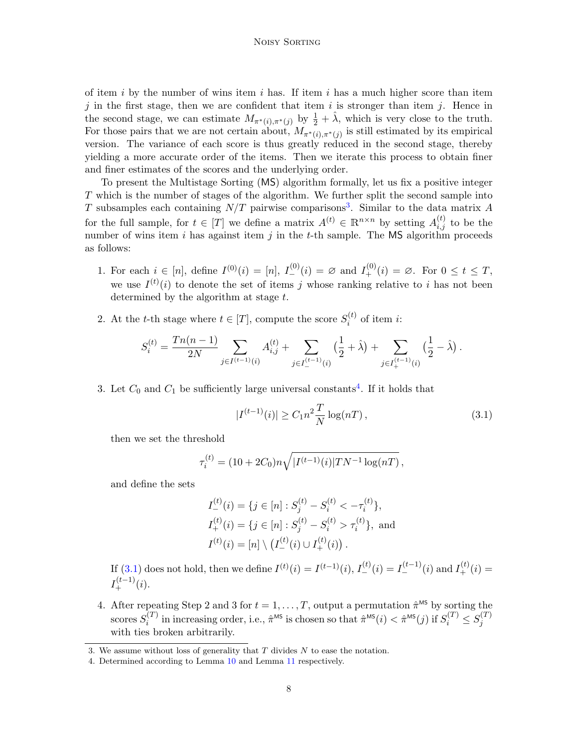#### Noisy Sorting

of item i by the number of wins item i has. If item i has a much higher score than item j in the first stage, then we are confident that item is stronger than item j. Hence in the second stage, we can estimate  $M_{\pi^*(i),\pi^*(j)}$  by  $\frac{1}{2}+\hat{\lambda}$ , which is very close to the truth. For those pairs that we are not certain about,  $M_{\pi^*(i),\pi^*(j)}$  is still estimated by its empirical version. The variance of each score is thus greatly reduced in the second stage, thereby yielding a more accurate order of the items. Then we iterate this process to obtain finer and finer estimates of the scores and the underlying order.

To present the Multistage Sorting (MS) algorithm formally, let us fix a positive integer T which is the number of stages of the algorithm. We further split the second sample into T subsamples each containing  $N/T$  pairwise comparisons<sup>[3](#page-7-0)</sup>. Similar to the data matrix A for the full sample, for  $t \in [T]$  we define a matrix  $A^{(t)} \in \mathbb{R}^{n \times n}$  by setting  $A_{i,j}^{(t)}$  to be the number of wins item i has against item j in the t-th sample. The MS algorithm proceeds as follows:

- 1. For each  $i \in [n]$ , define  $I^{(0)}(i) = [n]$ ,  $I^{(0)}_{-}(i) = \emptyset$  and  $I^{(0)}_{+}(i) = \emptyset$ . For  $0 \le t \le T$ , we use  $I^{(t)}(i)$  to denote the set of items j whose ranking relative to i has not been determined by the algorithm at stage t.
- 2. At the t-th stage where  $t \in [T]$ , compute the score  $S_i^{(t)}$  $i^{(i)}$  of item *i*:

$$
S_i^{(t)} = \frac{Tn(n-1)}{2N} \sum_{j \in I^{(t-1)}(i)} A_{i,j}^{(t)} + \sum_{j \in I_{-}^{(t-1)}(i)} \left(\frac{1}{2} + \hat{\lambda}\right) + \sum_{j \in I_{+}^{(t-1)}(i)} \left(\frac{1}{2} - \hat{\lambda}\right).
$$

3. Let  $C_0$  and  $C_1$  be sufficiently large universal constants<sup>[4](#page-7-1)</sup>. If it holds that

<span id="page-7-2"></span>
$$
|I^{(t-1)}(i)| \ge C_1 n^2 \frac{T}{N} \log(nT), \qquad (3.1)
$$

then we set the threshold

$$
\tau_i^{(t)} = (10 + 2C_0)n\sqrt{|I^{(t-1)}(i)|TN^{-1}\log(nT)},
$$

and define the sets

$$
I_{-}^{(t)}(i) = \{j \in [n] : S_j^{(t)} - S_i^{(t)} < -\tau_i^{(t)}\},
$$
  
\n
$$
I_{+}^{(t)}(i) = \{j \in [n] : S_j^{(t)} - S_i^{(t)} > \tau_i^{(t)}\}, \text{ and}
$$
  
\n
$$
I^{(t)}(i) = [n] \setminus (I_{-}^{(t)}(i) \cup I_{+}^{(t)}(i)).
$$

If [\(3.1\)](#page-7-2) does not hold, then we define  $I^{(t)}(i) = I^{(t-1)}(i)$ ,  $I^{(t)}_{-}(i) = I^{(t-1)}_{-}(i)$  and  $I^{(t)}_{+}(i) =$  $I_{+}^{(t-1)}(i).$ 

4. After repeating Step 2 and 3 for  $t = 1, \ldots, T$ , output a permutation  $\hat{\pi}^{\text{MS}}$  by sorting the scores  $S_i^{(T)}$  $\hat{\pi}^{(T)}$  in increasing order, i.e.,  $\hat{\pi}^{\text{MS}}$  is chosen so that  $\hat{\pi}^{\text{MS}}(i) < \hat{\pi}^{\text{MS}}(j)$  if  $S_i^{(T)} \leq S_j^{(T)}$ j with ties broken arbitrarily.

<span id="page-7-0"></span><sup>3.</sup> We assume without loss of generality that  $T$  divides  $N$  to ease the notation.

<span id="page-7-1"></span><sup>4.</sup> Determined according to Lemma [10](#page-23-0) and Lemma [11](#page-24-0) respectively.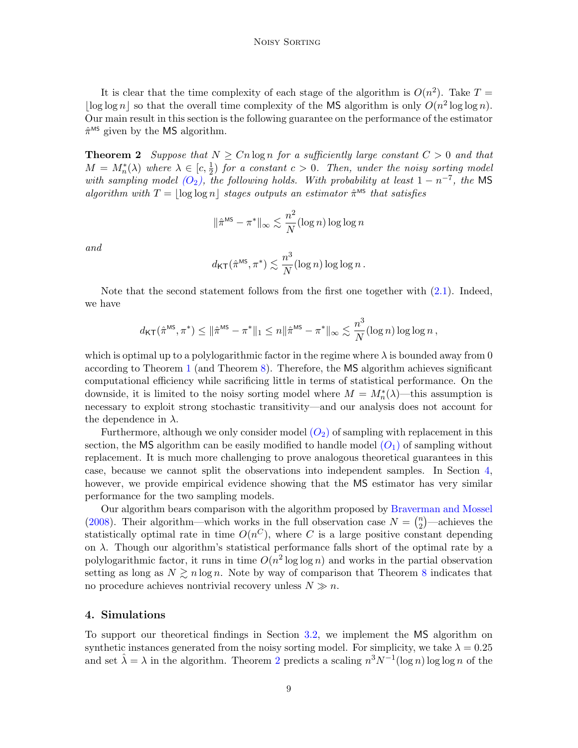It is clear that the time complexity of each stage of the algorithm is  $O(n^2)$ . Take  $T =$  $\log \log n$  so that the overall time complexity of the MS algorithm is only  $O(n^2 \log \log n)$ . Our main result in this section is the following guarantee on the performance of the estimator  $\hat{\pi}^{\text{MS}}$  given by the MS algorithm.

<span id="page-8-1"></span>**Theorem 2** Suppose that  $N \geq Cn \log n$  for a sufficiently large constant  $C > 0$  and that  $M = M_n^*(\lambda)$  where  $\lambda \in [c, \frac{1}{2})$  for a constant  $c > 0$ . Then, under the noisy sorting model with sampling model  $(O_2)$  $(O_2)$  $(O_2)$ , the following holds. With probability at least  $1 - n^{-7}$ , the MS algorithm with  $T = |\log \log n|$  stages outputs an estimator  $\hat{\pi}^{\text{MS}}$  that satisfies

$$
\|\hat{\pi}^{\text{MS}} - \pi^*\|_{\infty} \lesssim \frac{n^2}{N} (\log n) \log \log n
$$

and

$$
d_{\mathsf{KT}}(\hat{\pi}^{\mathsf{MS}}, \pi^*) \lesssim \frac{n^3}{N}(\log n) \log \log n.
$$

Note that the second statement follows from the first one together with [\(2.1\)](#page-4-2). Indeed, we have

$$
d_{\mathsf{KT}}(\hat{\pi}^{\mathsf{MS}}, \pi^*) \leq \|\hat{\pi}^{\mathsf{MS}} - \pi^*\|_1 \leq n \|\hat{\pi}^{\mathsf{MS}} - \pi^*\|_{\infty} \lesssim \frac{n^3}{N} (\log n) \log \log n,
$$

which is optimal up to a polylogarithmic factor in the regime where  $\lambda$  is bounded away from 0 according to Theorem [1](#page-5-1) (and Theorem [8\)](#page-21-0). Therefore, the MS algorithm achieves significant computational efficiency while sacrificing little in terms of statistical performance. On the downside, it is limited to the noisy sorting model where  $M = M_n^*(\lambda)$ —this assumption is necessary to exploit strong stochastic transitivity—and our analysis does not account for the dependence in  $\lambda$ .

Furthermore, although we only consider model  $(O_2)$  $(O_2)$  $(O_2)$  of sampling with replacement in this section, the MS algorithm can be easily modified to handle model  $(O_1)$  $(O_1)$  $(O_1)$  of sampling without replacement. It is much more challenging to prove analogous theoretical guarantees in this case, because we cannot split the observations into independent samples. In Section [4,](#page-8-0) however, we provide empirical evidence showing that the MS estimator has very similar performance for the two sampling models.

Our algorithm bears comparison with the algorithm proposed by [Braverman and Mossel](#page-11-2) [\(2008\)](#page-11-2). Their algorithm—which works in the full observation case  $N = \binom{n}{2}$  $n_2^2$  —achieves the statistically optimal rate in time  $O(n^C)$ , where C is a large positive constant depending on  $\lambda$ . Though our algorithm's statistical performance falls short of the optimal rate by a polylogarithmic factor, it runs in time  $O(n^2 \log \log n)$  and works in the partial observation setting as long as  $N \gtrsim n \log n$ . Note by way of comparison that Theorem [8](#page-21-0) indicates that no procedure achieves nontrivial recovery unless  $N \gg n$ .

# <span id="page-8-0"></span>4. Simulations

To support our theoretical findings in Section [3.2,](#page-6-0) we implement the MS algorithm on synthetic instances generated from the noisy sorting model. For simplicity, we take  $\lambda = 0.25$ and set  $\hat{\lambda} = \lambda$  in the algorithm. Theorem [2](#page-8-1) predicts a scaling  $n^3 N^{-1} (\log n) \log \log n$  of the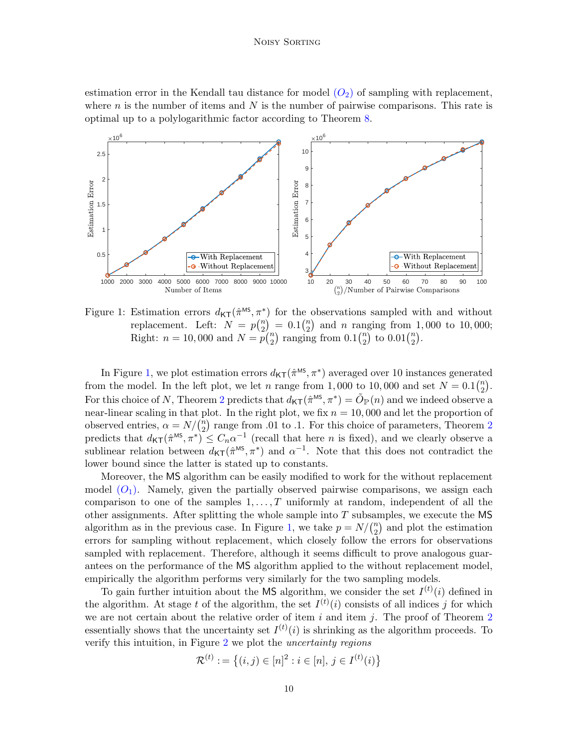estimation error in the Kendall tau distance for model  $(O_2)$  $(O_2)$  $(O_2)$  of sampling with replacement, where  $n$  is the number of items and  $N$  is the number of pairwise comparisons. This rate is optimal up to a polylogarithmic factor according to Theorem [8.](#page-21-0)



<span id="page-9-0"></span>Figure 1: Estimation errors  $d_{\mathsf{KT}}(\hat{\pi}^{\text{MS}}, \pi^*)$  for the observations sampled with and without replacement. Left:  $N = p\binom{n}{2}$  $\binom{n}{2} = 0.1 \binom{n}{2}$  $n \choose 2$  and *n* ranging from 1,000 to 10,000; Right:  $n = 10,000$  and  $N = p\binom{n}{2}$  $n_2$ ) ranging from  $0.1\binom{n}{2}$  $\binom{n}{2}$  to  $0.01\binom{n}{2}$  $\binom{n}{2}$ .

In Figure [1,](#page-9-0) we plot estimation errors  $d_{\mathsf{KT}}(\hat{\pi}^{\text{MS}}, \pi^*)$  averaged over 10 instances generated from the model. In the left plot, we let n range from 1,000 to 10,000 and set  $N = 0.1\binom{n}{2}$  $\binom{n}{2}$ . For this choice of N, Theorem [2](#page-8-1) predicts that  $d_{\mathsf{KT}}(\hat{\pi}^{\text{MS}}, \pi^*) = \tilde{O}_{\mathbb{P}}(n)$  and we indeed observe a near-linear scaling in that plot. In the right plot, we fix  $n = 10,000$  and let the proportion of observed entries,  $\alpha = N/(n \choose 2)$  $n<sub>2</sub>$  $n<sub>2</sub>$  $n<sub>2</sub>$ ) range from .01 to .1. For this choice of parameters, Theorem 2 predicts that  $d_{\mathsf{KT}}(\hat{\pi}^{\text{MS}}, \pi^*) \leq C_n \alpha^{-1}$  (recall that here *n* is fixed), and we clearly observe a sublinear relation between  $d_{\mathsf{KT}}(\hat{\pi}^{\text{MS}}, \pi^*)$  and  $\alpha^{-1}$ . Note that this does not contradict the lower bound since the latter is stated up to constants.

Moreover, the MS algorithm can be easily modified to work for the without replacement model  $(O_1)$  $(O_1)$  $(O_1)$ . Namely, given the partially observed pairwise comparisons, we assign each comparison to one of the samples  $1, \ldots, T$  uniformly at random, independent of all the other assignments. After splitting the whole sample into  $T$  subsamples, we execute the MS algorithm as in the previous case. In Figure [1,](#page-9-0) we take  $p = N/(n^2)$  $n_2$  and plot the estimation errors for sampling without replacement, which closely follow the errors for observations sampled with replacement. Therefore, although it seems difficult to prove analogous guarantees on the performance of the MS algorithm applied to the without replacement model, empirically the algorithm performs very similarly for the two sampling models.

To gain further intuition about the MS algorithm, we consider the set  $I^{(t)}(i)$  defined in the algorithm. At stage t of the algorithm, the set  $I^{(t)}(i)$  consists of all indices j for which we are not certain about the relative order of item  $i$  and item  $j$ . The proof of Theorem [2](#page-8-1) essentially shows that the uncertainty set  $I^{(t)}(i)$  is shrinking as the algorithm proceeds. To verify this intuition, in Figure [2](#page-10-1) we plot the uncertainty regions

$$
\mathcal{R}^{(t)} := \left\{ (i, j) \in [n]^2 : i \in [n], j \in I^{(t)}(i) \right\}
$$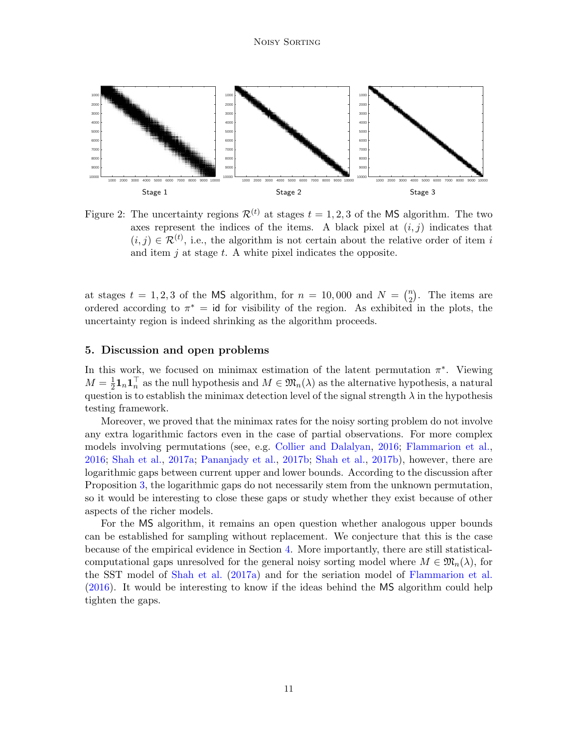

<span id="page-10-1"></span>Figure 2: The uncertainty regions  $\mathcal{R}^{(t)}$  at stages  $t = 1, 2, 3$  of the MS algorithm. The two axes represent the indices of the items. A black pixel at  $(i, j)$  indicates that  $(i, j) \in \mathcal{R}^{(t)}$ , i.e., the algorithm is not certain about the relative order of item i and item  $j$  at stage  $t$ . A white pixel indicates the opposite.

at stages  $t = 1, 2, 3$  of the MS algorithm, for  $n = 10,000$  and  $N = \binom{n}{2}$  $n/2$ ). The items are ordered according to  $\pi^* = id$  for visibility of the region. As exhibited in the plots, the uncertainty region is indeed shrinking as the algorithm proceeds.

# <span id="page-10-0"></span>5. Discussion and open problems

In this work, we focused on minimax estimation of the latent permutation  $\pi^*$ . Viewing  $M=\frac{1}{2}$  $\frac{1}{2} \mathbf{1}_n \mathbf{1}_n^\top$  as the null hypothesis and  $M \in \mathfrak{M}_n(\lambda)$  as the alternative hypothesis, a natural question is to establish the minimax detection level of the signal strength  $\lambda$  in the hypothesis testing framework.

Moreover, we proved that the minimax rates for the noisy sorting problem do not involve any extra logarithmic factors even in the case of partial observations. For more complex models involving permutations (see, e.g. [Collier and Dalalyan,](#page-12-6) [2016;](#page-12-6) [Flammarion et al.,](#page-12-13) [2016;](#page-12-13) [Shah et al.,](#page-14-3) [2017a;](#page-14-3) [Pananjady et al.,](#page-13-7) [2017b;](#page-13-7) [Shah et al.,](#page-14-7) [2017b\)](#page-14-7), however, there are logarithmic gaps between current upper and lower bounds. According to the discussion after Proposition [3,](#page-14-6) the logarithmic gaps do not necessarily stem from the unknown permutation, so it would be interesting to close these gaps or study whether they exist because of other aspects of the richer models.

For the MS algorithm, it remains an open question whether analogous upper bounds can be established for sampling without replacement. We conjecture that this is the case because of the empirical evidence in Section [4.](#page-8-0) More importantly, there are still statisticalcomputational gaps unresolved for the general noisy sorting model where  $M \in \mathfrak{M}_n(\lambda)$ , for the SST model of [Shah et al.](#page-14-3) [\(2017a\)](#page-14-3) and for the seriation model of [Flammarion et al.](#page-12-13) [\(2016\)](#page-12-13). It would be interesting to know if the ideas behind the MS algorithm could help tighten the gaps.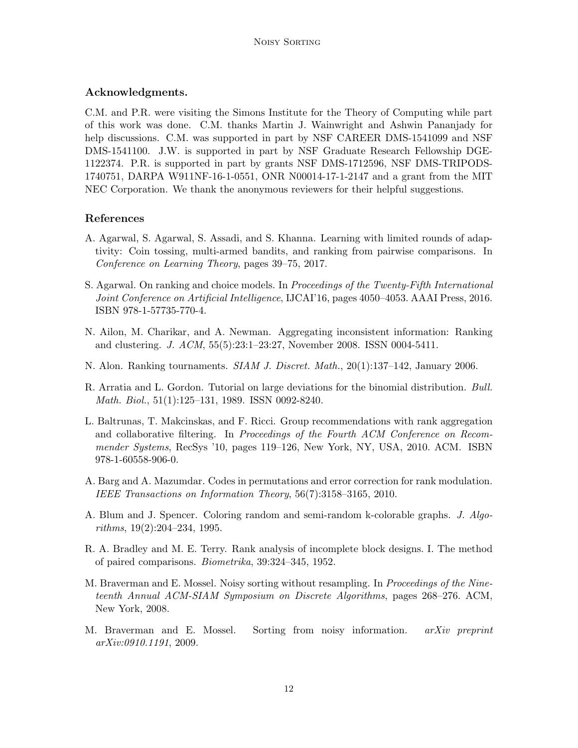# Acknowledgments.

C.M. and P.R. were visiting the Simons Institute for the Theory of Computing while part of this work was done. C.M. thanks Martin J. Wainwright and Ashwin Pananjady for help discussions. C.M. was supported in part by NSF CAREER DMS-1541099 and NSF DMS-1541100. J.W. is supported in part by NSF Graduate Research Fellowship DGE-1122374. P.R. is supported in part by grants NSF DMS-1712596, NSF DMS-TRIPODS-1740751, DARPA W911NF-16-1-0551, ONR N00014-17-1-2147 and a grant from the MIT NEC Corporation. We thank the anonymous reviewers for their helpful suggestions.

# References

- <span id="page-11-7"></span>A. Agarwal, S. Agarwal, S. Assadi, and S. Khanna. Learning with limited rounds of adaptivity: Coin tossing, multi-armed bandits, and ranking from pairwise comparisons. In Conference on Learning Theory, pages 39–75, 2017.
- <span id="page-11-4"></span>S. Agarwal. On ranking and choice models. In *Proceedings of the Twenty-Fifth International* Joint Conference on Artificial Intelligence, IJCAI'16, pages 4050–4053. AAAI Press, 2016. ISBN 978-1-57735-770-4.
- <span id="page-11-6"></span>N. Ailon, M. Charikar, and A. Newman. Aggregating inconsistent information: Ranking and clustering. J. ACM, 55(5):23:1–23:27, November 2008. ISSN 0004-5411.
- <span id="page-11-5"></span>N. Alon. Ranking tournaments. *SIAM J. Discret. Math.*, 20(1):137–142, January 2006.
- <span id="page-11-10"></span>R. Arratia and L. Gordon. Tutorial on large deviations for the binomial distribution. Bull. Math. Biol., 51(1):125–131, 1989. ISSN 0092-8240.
- <span id="page-11-0"></span>L. Baltrunas, T. Makcinskas, and F. Ricci. Group recommendations with rank aggregation and collaborative filtering. In Proceedings of the Fourth ACM Conference on Recommender Systems, RecSys '10, pages 119–126, New York, NY, USA, 2010. ACM. ISBN 978-1-60558-906-0.
- <span id="page-11-9"></span>A. Barg and A. Mazumdar. Codes in permutations and error correction for rank modulation. IEEE Transactions on Information Theory, 56(7):3158–3165, 2010.
- <span id="page-11-8"></span>A. Blum and J. Spencer. Coloring random and semi-random k-colorable graphs. J. Algorithms, 19(2):204–234, 1995.
- <span id="page-11-1"></span>R. A. Bradley and M. E. Terry. Rank analysis of incomplete block designs. I. The method of paired comparisons. Biometrika, 39:324–345, 1952.
- <span id="page-11-2"></span>M. Braverman and E. Mossel. Noisy sorting without resampling. In *Proceedings of the Nine*teenth Annual ACM-SIAM Symposium on Discrete Algorithms, pages 268–276. ACM, New York, 2008.
- <span id="page-11-3"></span>M. Braverman and E. Mossel. Sorting from noisy information. *arXiv preprint* arXiv:0910.1191, 2009.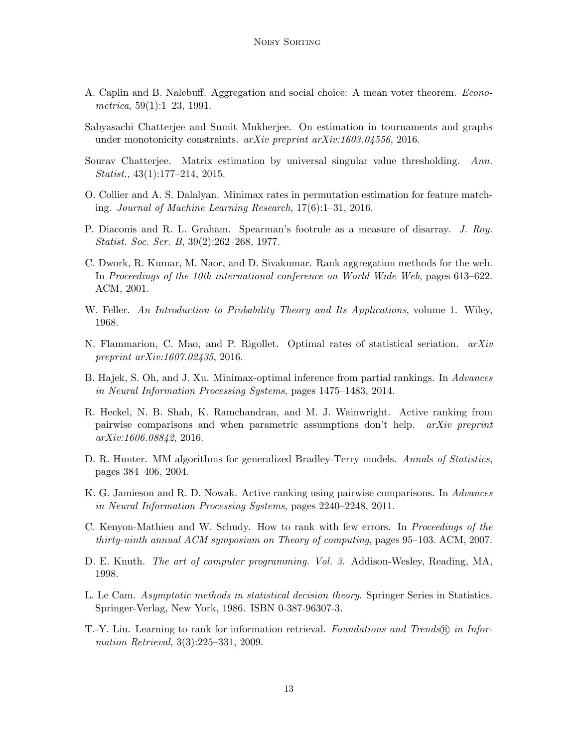- <span id="page-12-2"></span>A. Caplin and B. Nalebuff. Aggregation and social choice: A mean voter theorem. Econometrica,  $59(1):1-23$ , 1991.
- <span id="page-12-8"></span>Sabyasachi Chatterjee and Sumit Mukherjee. On estimation in tournaments and graphs under monotonicity constraints. arXiv preprint arXiv:1603.04556, 2016.
- <span id="page-12-5"></span>Sourav Chatterjee. Matrix estimation by universal singular value thresholding. Ann. Statist., 43(1):177–214, 2015.
- <span id="page-12-6"></span>O. Collier and A. S. Dalalyan. Minimax rates in permutation estimation for feature matching. Journal of Machine Learning Research, 17(6):1–31, 2016.
- <span id="page-12-12"></span>P. Diaconis and R. L. Graham. Spearman's footrule as a measure of disarray. J. Roy. Statist. Soc. Ser. B, 39(2):262–268, 1977.
- <span id="page-12-0"></span>C. Dwork, R. Kumar, M. Naor, and D. Sivakumar. Rank aggregation methods for the web. In Proceedings of the 10th international conference on World Wide Web, pages 613–622. ACM, 2001.
- <span id="page-12-14"></span>W. Feller. An Introduction to Probability Theory and Its Applications, volume 1. Wiley, 1968.
- <span id="page-12-13"></span>N. Flammarion, C. Mao, and P. Rigollet. Optimal rates of statistical seriation.  $arXiv$ preprint arXiv:1607.02435, 2016.
- <span id="page-12-4"></span>B. Hajek, S. Oh, and J. Xu. Minimax-optimal inference from partial rankings. In Advances in Neural Information Processing Systems, pages 1475–1483, 2014.
- <span id="page-12-10"></span>R. Heckel, N. B. Shah, K. Ramchandran, and M. J. Wainwright. Active ranking from pairwise comparisons and when parametric assumptions don't help. arXiv preprint arXiv:1606.08842, 2016.
- <span id="page-12-3"></span>D. R. Hunter. MM algorithms for generalized Bradley-Terry models. Annals of Statistics, pages 384–406, 2004.
- <span id="page-12-9"></span>K. G. Jamieson and R. D. Nowak. Active ranking using pairwise comparisons. In Advances in Neural Information Processing Systems, pages 2240–2248, 2011.
- <span id="page-12-7"></span>C. Kenyon-Mathieu and W. Schudy. How to rank with few errors. In Proceedings of the thirty-ninth annual ACM symposium on Theory of computing, pages 95–103. ACM, 2007.
- <span id="page-12-11"></span>D. E. Knuth. The art of computer programming. Vol. 3. Addison-Wesley, Reading, MA, 1998.
- <span id="page-12-15"></span>L. Le Cam. Asymptotic methods in statistical decision theory. Springer Series in Statistics. Springer-Verlag, New York, 1986. ISBN 0-387-96307-3.
- <span id="page-12-1"></span>T.-Y. Liu. Learning to rank for information retrieval. Foundations and Trends  $\mathbb{R}$  in Information Retrieval, 3(3):225–331, 2009.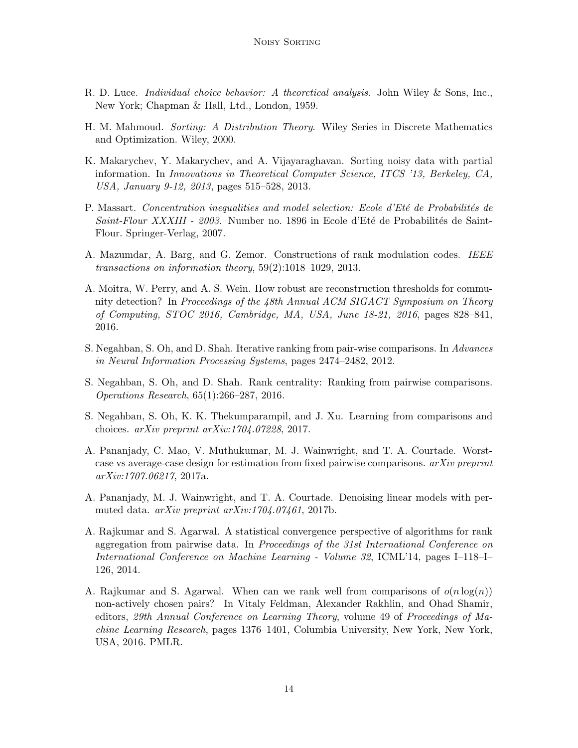- <span id="page-13-0"></span>R. D. Luce. Individual choice behavior: A theoretical analysis. John Wiley & Sons, Inc., New York; Chapman & Hall, Ltd., London, 1959.
- <span id="page-13-11"></span>H. M. Mahmoud. Sorting: A Distribution Theory. Wiley Series in Discrete Mathematics and Optimization. Wiley, 2000.
- <span id="page-13-8"></span>K. Makarychev, Y. Makarychev, and A. Vijayaraghavan. Sorting noisy data with partial information. In Innovations in Theoretical Computer Science, ITCS '13, Berkeley, CA, USA, January 9-12, 2013, pages 515–528, 2013.
- <span id="page-13-12"></span>P. Massart. Concentration inequalities and model selection: Ecole d'Eté de Probabilités de  $Saint-Flour XXXIII - 2003$ . Number no. 1896 in Ecole d'Eté de Probabilités de Saint-Flour. Springer-Verlag, 2007.
- <span id="page-13-10"></span>A. Mazumdar, A. Barg, and G. Zemor. Constructions of rank modulation codes. IEEE transactions on information theory, 59(2):1018–1029, 2013.
- <span id="page-13-9"></span>A. Moitra, W. Perry, and A. S. Wein. How robust are reconstruction thresholds for community detection? In Proceedings of the 48th Annual ACM SIGACT Symposium on Theory of Computing, STOC 2016, Cambridge, MA, USA, June 18-21, 2016, pages 828–841, 2016.
- <span id="page-13-1"></span>S. Negahban, S. Oh, and D. Shah. Iterative ranking from pair-wise comparisons. In Advances in Neural Information Processing Systems, pages 2474–2482, 2012.
- <span id="page-13-3"></span>S. Negahban, S. Oh, and D. Shah. Rank centrality: Ranking from pairwise comparisons. Operations Research, 65(1):266–287, 2016.
- <span id="page-13-4"></span>S. Negahban, S. Oh, K. K. Thekumparampil, and J. Xu. Learning from comparisons and choices. arXiv preprint arXiv:1704.07228, 2017.
- <span id="page-13-5"></span>A. Pananjady, C. Mao, V. Muthukumar, M. J. Wainwright, and T. A. Courtade. Worstcase vs average-case design for estimation from fixed pairwise comparisons.  $arXiv$  preprint arXiv:1707.06217, 2017a.
- <span id="page-13-7"></span>A. Pananjady, M. J. Wainwright, and T. A. Courtade. Denoising linear models with permuted data. arXiv preprint arXiv:1704.07461, 2017b.
- <span id="page-13-2"></span>A. Rajkumar and S. Agarwal. A statistical convergence perspective of algorithms for rank aggregation from pairwise data. In Proceedings of the 31st International Conference on International Conference on Machine Learning - Volume 32, ICML'14, pages I–118–I– 126, 2014.
- <span id="page-13-6"></span>A. Rajkumar and S. Agarwal. When can we rank well from comparisons of  $o(n \log(n))$ non-actively chosen pairs? In Vitaly Feldman, Alexander Rakhlin, and Ohad Shamir, editors, 29th Annual Conference on Learning Theory, volume 49 of Proceedings of Machine Learning Research, pages 1376–1401, Columbia University, New York, New York, USA, 2016. PMLR.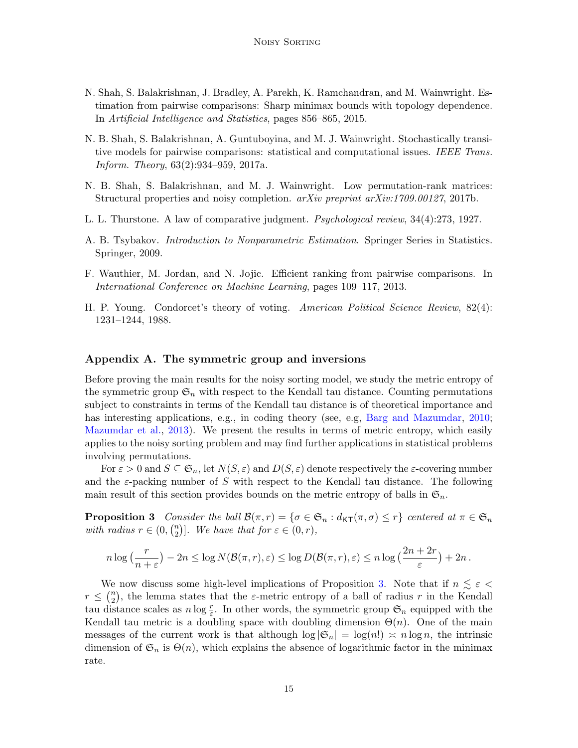- <span id="page-14-2"></span>N. Shah, S. Balakrishnan, J. Bradley, A. Parekh, K. Ramchandran, and M. Wainwright. Estimation from pairwise comparisons: Sharp minimax bounds with topology dependence. In Artificial Intelligence and Statistics, pages 856–865, 2015.
- <span id="page-14-3"></span>N. B. Shah, S. Balakrishnan, A. Guntuboyina, and M. J. Wainwright. Stochastically transitive models for pairwise comparisons: statistical and computational issues. IEEE Trans. Inform. Theory, 63(2):934–959, 2017a.
- <span id="page-14-7"></span>N. B. Shah, S. Balakrishnan, and M. J. Wainwright. Low permutation-rank matrices: Structural properties and noisy completion. arXiv preprint arXiv:1709.00127, 2017b.
- <span id="page-14-1"></span>L. L. Thurstone. A law of comparative judgment. Psychological review, 34(4):273, 1927.
- <span id="page-14-8"></span>A. B. Tsybakov. Introduction to Nonparametric Estimation. Springer Series in Statistics. Springer, 2009.
- <span id="page-14-4"></span>F. Wauthier, M. Jordan, and N. Jojic. Efficient ranking from pairwise comparisons. In International Conference on Machine Learning, pages 109–117, 2013.
- <span id="page-14-0"></span>H. P. Young. Condorcet's theory of voting. American Political Science Review, 82(4): 1231–1244, 1988.

### <span id="page-14-5"></span>Appendix A. The symmetric group and inversions

Before proving the main results for the noisy sorting model, we study the metric entropy of the symmetric group  $\mathfrak{S}_n$  with respect to the Kendall tau distance. Counting permutations subject to constraints in terms of the Kendall tau distance is of theoretical importance and has interesting applications, e.g., in coding theory (see, e.g. [Barg and Mazumdar,](#page-11-9) [2010;](#page-11-9) [Mazumdar et al.,](#page-13-10) [2013\)](#page-13-10). We present the results in terms of metric entropy, which easily applies to the noisy sorting problem and may find further applications in statistical problems involving permutations.

For  $\varepsilon > 0$  and  $S \subseteq \mathfrak{S}_n$ , let  $N(S, \varepsilon)$  and  $D(S, \varepsilon)$  denote respectively the  $\varepsilon$ -covering number and the  $\varepsilon$ -packing number of S with respect to the Kendall tau distance. The following main result of this section provides bounds on the metric entropy of balls in  $\mathfrak{S}_n$ .

<span id="page-14-6"></span>**Proposition 3** Consider the ball  $\mathcal{B}(\pi,r) = {\sigma \in \mathfrak{S}_n : d_{\mathsf{KT}}(\pi,\sigma) \leq r}$  centered at  $\pi \in \mathfrak{S}_n$ with radius  $r \in (0, {n \choose 2})$  ${2 \choose 2}$ . We have that for  $\varepsilon \in (0, r)$ ,

$$
n \log\left(\frac{r}{n+\varepsilon}\right) - 2n \le \log N(\mathcal{B}(\pi,r),\varepsilon) \le \log D(\mathcal{B}(\pi,r),\varepsilon) \le n \log\left(\frac{2n+2r}{\varepsilon}\right) + 2n.
$$

We now discuss some high-level implications of Proposition [3.](#page-14-6) Note that if  $n \leq \varepsilon$  $r \leq \binom{n}{2}$  $\binom{n}{2}$ , the lemma states that the  $\varepsilon$ -metric entropy of a ball of radius r in the Kendall tau distance scales as  $n \log \frac{r}{\varepsilon}$ . In other words, the symmetric group  $\mathfrak{S}_n$  equipped with the Kendall tau metric is a doubling space with doubling dimension  $\Theta(n)$ . One of the main messages of the current work is that although  $\log |\mathfrak{S}_n| = \log(n!) \approx n \log n$ , the intrinsic dimension of  $\mathfrak{S}_n$  is  $\Theta(n)$ , which explains the absence of logarithmic factor in the minimax rate.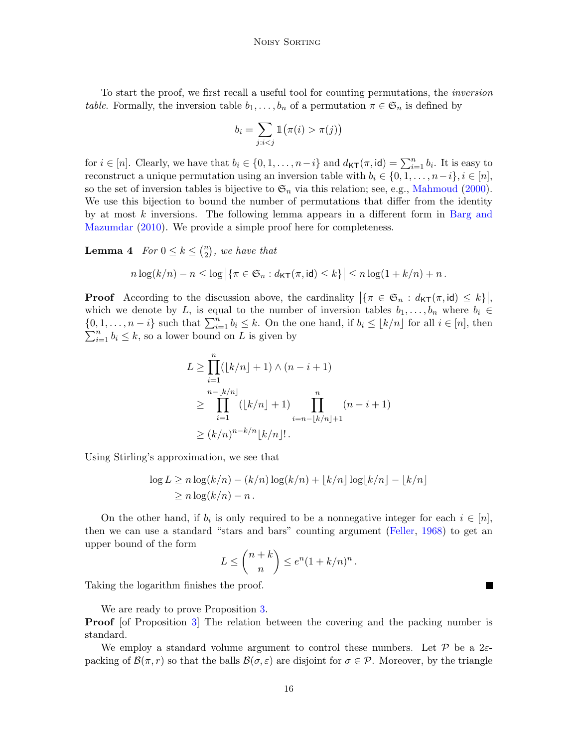To start the proof, we first recall a useful tool for counting permutations, the inversion table. Formally, the inversion table  $b_1, \ldots, b_n$  of a permutation  $\pi \in \mathfrak{S}_n$  is defined by

$$
b_i = \sum_{j:i \pi(j)\big)
$$

for  $i \in [n]$ . Clearly, we have that  $b_i \in \{0, 1, \ldots, n-i\}$  and  $d_{\mathsf{KT}}(\pi, id) = \sum_{i=1}^n b_i$ . It is easy to reconstruct a unique permutation using an inversion table with  $b_i \in \{0, 1, \ldots, n-i\}, i \in [n],$ so the set of inversion tables is bijective to  $\mathfrak{S}_n$  via this relation; see, e.g., [Mahmoud](#page-13-11) [\(2000\)](#page-13-11). We use this bijection to bound the number of permutations that differ from the identity by at most  $k$  inversions. The following lemma appears in a different form in [Barg and](#page-11-9) [Mazumdar](#page-11-9) [\(2010\)](#page-11-9). We provide a simple proof here for completeness.

<span id="page-15-0"></span>**Lemma 4** For  $0 \leq k \leq {n \choose 2}$  $\binom{n}{2}$ , we have that

$$
n\log(k/n)-n\leq \log\left|\left\{\pi\in\mathfrak{S}_n:d_{\mathsf{KT}}(\pi,\mathsf{id})\leq k\right\}\right|\leq n\log(1+k/n)+n.
$$

**Proof** According to the discussion above, the cardinality  $|\{\pi \in \mathfrak{S}_n : d_{\mathsf{KT}}(\pi, \mathsf{id}) \leq k\}|$ , which we denote by L, is equal to the number of inversion tables  $b_1, \ldots, b_n$  where  $b_i \in$  $\{0, 1, \ldots, n-i\}$  such that  $\sum_{i=1}^{n} b_i \leq k$ . On the one hand, if  $b_i \leq \lfloor k/n \rfloor$  for all  $i \in [n]$ , then  $\sum_{i=1}^{n} b_i \leq k$ , so a lower bound on L is given by

$$
L \ge \prod_{i=1}^{n} (\lfloor k/n \rfloor + 1) \wedge (n - i + 1)
$$
  
\n
$$
\ge \prod_{i=1}^{n - \lfloor k/n \rfloor} (\lfloor k/n \rfloor + 1) \prod_{i=n-\lfloor k/n \rfloor + 1}^{n} (n - i + 1)
$$
  
\n
$$
\ge (k/n)^{n-k/n} \lfloor k/n \rfloor!.
$$

Using Stirling's approximation, we see that

$$
\log L \ge n \log(k/n) - (k/n) \log(k/n) + \lfloor k/n \rfloor \log\lfloor k/n \rfloor - \lfloor k/n \rfloor
$$
  
 
$$
\ge n \log(k/n) - n.
$$

On the other hand, if  $b_i$  is only required to be a nonnegative integer for each  $i \in [n]$ , then we can use a standard "stars and bars" counting argument [\(Feller,](#page-12-14) [1968\)](#page-12-14) to get an upper bound of the form

$$
L \leq {n+k \choose n} \leq e^n (1+k/n)^n.
$$

Taking the logarithm finishes the proof.

We are ready to prove Proposition [3.](#page-14-6)

**Proof** [of Proposition [3\]](#page-14-6) The relation between the covering and the packing number is standard.

We employ a standard volume argument to control these numbers. Let  $\mathcal P$  be a 2 $\varepsilon$ packing of  $\mathcal{B}(\pi,r)$  so that the balls  $\mathcal{B}(\sigma,\varepsilon)$  are disjoint for  $\sigma \in \mathcal{P}$ . Moreover, by the triangle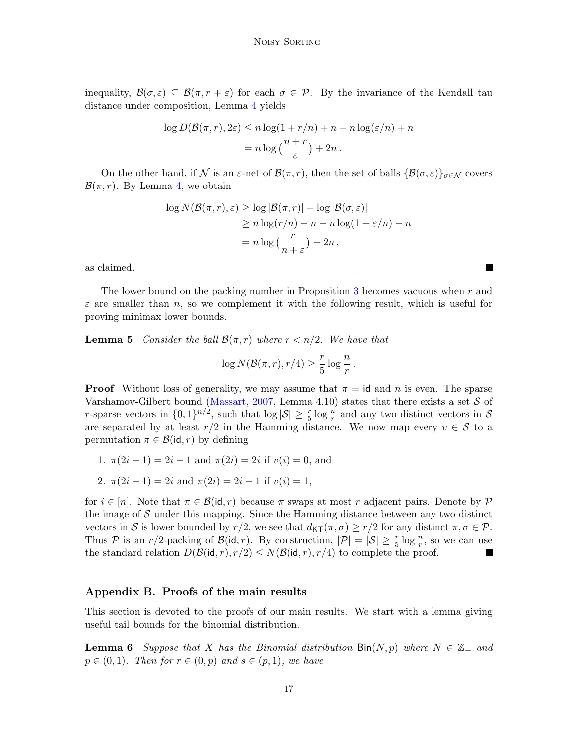inequality,  $\mathcal{B}(\sigma,\varepsilon) \subseteq \mathcal{B}(\pi,r+\varepsilon)$  for each  $\sigma \in \mathcal{P}$ . By the invariance of the Kendall tau distance under composition, Lemma [4](#page-15-0) yields

$$
\log D(\mathcal{B}(\pi, r), 2\varepsilon) \le n \log(1 + r/n) + n - n \log(\varepsilon/n) + n
$$

$$
= n \log \left(\frac{n+r}{\varepsilon}\right) + 2n.
$$

On the other hand, if N is an  $\varepsilon$ -net of  $\mathcal{B}(\pi,r)$ , then the set of balls  $\{\mathcal{B}(\sigma,\varepsilon)\}\sigma\in\mathcal{N}$  covers  $\mathcal{B}(\pi,r)$ . By Lemma [4,](#page-15-0) we obtain

$$
\log N(\mathcal{B}(\pi, r), \varepsilon) \ge \log |\mathcal{B}(\pi, r)| - \log |\mathcal{B}(\sigma, \varepsilon)|
$$
  
\n
$$
\ge n \log(r/n) - n - n \log(1 + \varepsilon/n) - n
$$
  
\n
$$
= n \log \left(\frac{r}{n + \varepsilon}\right) - 2n,
$$

as claimed.

The lower bound on the packing number in Proposition [3](#page-14-6) becomes vacuous when r and  $\varepsilon$  are smaller than n, so we complement it with the following result, which is useful for proving minimax lower bounds.

<span id="page-16-2"></span>**Lemma 5** Consider the ball  $\mathcal{B}(\pi,r)$  where  $r < n/2$ . We have that

$$
\log N(\mathcal{B}(\pi,r),r/4) \ge \frac{r}{5}\log\frac{n}{r}.
$$

**Proof** Without loss of generality, we may assume that  $\pi = id$  and n is even. The sparse Varshamov-Gilbert bound [\(Massart,](#page-13-12) [2007,](#page-13-12) Lemma 4.10) states that there exists a set  $S$  of r-sparse vectors in  $\{0,1\}^{n/2}$ , such that  $\log|\mathcal{S}| \geq \frac{r}{5} \log \frac{n}{r}$  and any two distinct vectors in S are separated by at least  $r/2$  in the Hamming distance. We now map every  $v \in \mathcal{S}$  to a permutation  $\pi \in \mathcal{B}(\mathsf{id}, r)$  by defining

1.  $\pi(2i-1) = 2i-1$  and  $\pi(2i) = 2i$  if  $v(i) = 0$ , and

2. 
$$
\pi(2i-1) = 2i
$$
 and  $\pi(2i) = 2i-1$  if  $v(i) = 1$ ,

for  $i \in [n]$ . Note that  $\pi \in \mathcal{B}(\text{id}, r)$  because  $\pi$  swaps at most r adjacent pairs. Denote by P the image of  $S$  under this mapping. Since the Hamming distance between any two distinct vectors in S is lower bounded by  $r/2$ , we see that  $d_{\mathsf{KT}}(\pi,\sigma) \geq r/2$  for any distinct  $\pi,\sigma \in \mathcal{P}$ . Thus P is an  $r/2$ -packing of  $\mathcal{B}(\mathsf{id}, r)$ . By construction,  $|\mathcal{P}| = |\mathcal{S}| \geq \frac{r}{5} \log \frac{n}{r}$ , so we can use the standard relation  $D(\mathcal{B}(\mathsf{id}, r), r/2) \leq N(\mathcal{B}(\mathsf{id}, r), r/4)$  to complete the proof.

# <span id="page-16-0"></span>Appendix B. Proofs of the main results

This section is devoted to the proofs of our main results. We start with a lemma giving useful tail bounds for the binomial distribution.

<span id="page-16-1"></span>**Lemma 6** Suppose that X has the Binomial distribution  $\text{Bin}(N, p)$  where  $N \in \mathbb{Z}_+$  and  $p \in (0,1)$ . Then for  $r \in (0,p)$  and  $s \in (p,1)$ , we have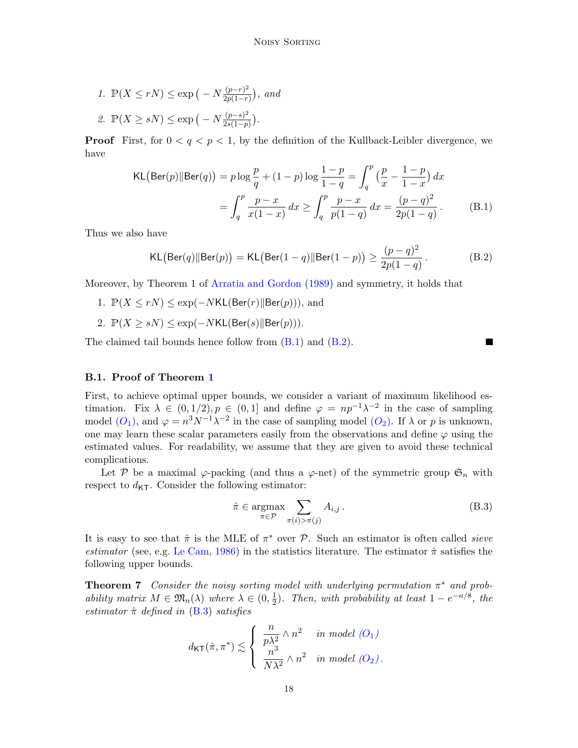1. 
$$
\mathbb{P}(X \le rN) \le \exp\left(-N\frac{(p-r)^2}{2p(1-r)}\right), \text{ and}
$$
  
2. 
$$
\mathbb{P}(X \ge sN) \le \exp\left(-N\frac{(p-s)^2}{2s(1-p)}\right).
$$

**Proof** First, for  $0 < q < p < 1$ , by the definition of the Kullback-Leibler divergence, we have

KL(Ber(p)||Ber(q)) = 
$$
p \log \frac{p}{q} + (1-p) \log \frac{1-p}{1-q} = \int_q^p \left(\frac{p}{x} - \frac{1-p}{1-x}\right) dx
$$
  
= 
$$
\int_q^p \frac{p-x}{x(1-x)} dx \ge \int_q^p \frac{p-x}{p(1-q)} dx = \frac{(p-q)^2}{2p(1-q)}.
$$
 (B.1)

Thus we also have

<span id="page-17-3"></span>
$$
KL\big(\text{Ber}(q) \| \text{Ber}(p)\big) = KL\big(\text{Ber}(1-q) \| \text{Ber}(1-p)\big) \ge \frac{(p-q)^2}{2p(1-q)}.
$$
 (B.2)

Moreover, by Theorem 1 of [Arratia and Gordon](#page-11-10) [\(1989\)](#page-11-10) and symmetry, it holds that

- 1.  $\mathbb{P}(X \leq rN) \leq \exp(-NKL(\text{Ber}(r)||\text{Ber}(p))),$  and
- 2.  $\mathbb{P}(X \geq sN) \leq \exp(-NKL(\text{Ber}(s)||\text{Ber}(p))).$

The claimed tail bounds hence follow from [\(B.1\)](#page-17-2) and [\(B.2\)](#page-17-3).

#### <span id="page-17-1"></span>B.1. Proof of Theorem [1](#page-5-1)

First, to achieve optimal upper bounds, we consider a variant of maximum likelihood estimation. Fix  $\lambda \in (0,1/2), p \in (0,1]$  and define  $\varphi = np^{-1}\lambda^{-2}$  in the case of sampling model  $(O_1)$  $(O_1)$  $(O_1)$ , and  $\varphi = n^3 N^{-1} \lambda^{-2}$  in the case of sampling model  $(O_2)$ . If  $\lambda$  or p is unknown, one may learn these scalar parameters easily from the observations and define  $\varphi$  using the estimated values. For readability, we assume that they are given to avoid these technical complications.

Let P be a maximal  $\varphi$ -packing (and thus a  $\varphi$ -net) of the symmetric group  $\mathfrak{S}_n$  with respect to  $d_{\text{KT}}$ . Consider the following estimator:

<span id="page-17-4"></span>
$$
\hat{\pi} \in \underset{\pi \in \mathcal{P}}{\operatorname{argmax}} \sum_{\pi(i) > \pi(j)} A_{i,j} \,. \tag{B.3}
$$

<span id="page-17-2"></span>ш

It is easy to see that  $\hat{\pi}$  is the MLE of  $\pi^*$  over  $P$ . Such an estimator is often called *sieve* estimator (see, e.g. [Le Cam,](#page-12-15) [1986\)](#page-12-15) in the statistics literature. The estimator  $\hat{\pi}$  satisfies the following upper bounds.

<span id="page-17-0"></span>**Theorem 7** Consider the noisy sorting model with underlying permutation  $\pi^*$  and probability matrix  $M \in \mathfrak{M}_n(\lambda)$  where  $\lambda \in (0, \frac{1}{2})$  $\frac{1}{2}$ ). Then, with probability at least  $1 - e^{-n/8}$ , the estimator  $\hat{\pi}$  defined in [\(B.3\)](#page-17-4) satisfies

$$
d_{\mathsf{KT}}(\hat{\pi}, \pi^*) \lesssim \left\{ \begin{array}{ll} \frac{n}{p\lambda^2} \wedge n^2 & \textit{in model $(O_1)$} \\ \frac{n^3}{N\lambda^2} \wedge n^2 & \textit{in model $(O_2)$} . \end{array} \right.
$$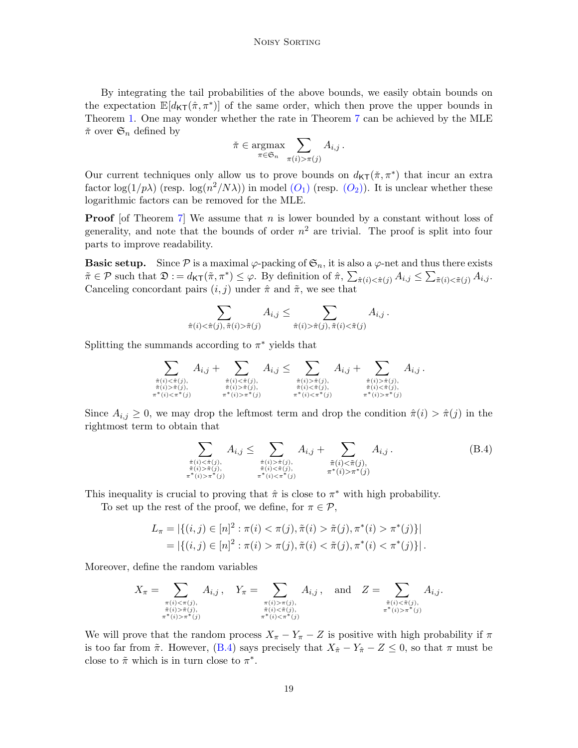By integrating the tail probabilities of the above bounds, we easily obtain bounds on the expectation  $\mathbb{E}[d_{\mathsf{KT}}(\hat{\pi}, \pi^*)]$  of the same order, which then prove the upper bounds in Theorem [1.](#page-5-1) One may wonder whether the rate in Theorem [7](#page-17-0) can be achieved by the MLE  $\check{\pi}$  over  $\mathfrak{S}_n$  defined by

$$
\tilde{\pi} \in \underset{\pi \in \mathfrak{S}_n}{\operatorname{argmax}} \sum_{\pi(i) > \pi(j)} A_{i,j} \, .
$$

Our current techniques only allow us to prove bounds on  $d_{\mathsf{KT}}(\pi, \pi^*)$  that incur an extra factor  $\log(1/p\lambda)$  (resp.  $\log(n^2/N\lambda)$ ) in model  $(O_1)$  $(O_1)$  $(O_1)$  (resp.  $(O_2)$ ). It is unclear whether these logarithmic factors can be removed for the MLE.

**Proof** [of Theorem [7\]](#page-17-0) We assume that  $n$  is lower bounded by a constant without loss of generality, and note that the bounds of order  $n^2$  are trivial. The proof is split into four parts to improve readability.

**Basic setup.** Since  $\mathcal P$  is a maximal  $\varphi$ -packing of  $\mathfrak{S}_n$ , it is also a  $\varphi$ -net and thus there exists  $\tilde{\pi} \in \mathcal{P}$  such that  $\mathfrak{D} := d_{\mathsf{KT}}(\tilde{\pi}, \pi^*) \leq \varphi$ . By definition of  $\hat{\pi}, \sum_{\tilde{\pi}(i) < \hat{\pi}(j)} A_{i,j} \leq \sum_{\tilde{\pi}(i) < \tilde{\pi}(j)} A_{i,j}$ . Canceling concordant pairs  $(i, j)$  under  $\hat{\pi}$  and  $\tilde{\pi}$ , we see that

$$
\sum_{\tilde{\pi}(i) < \tilde{\pi}(j), \tilde{\pi}(i) > \tilde{\pi}(j)} A_{i,j} \leq \sum_{\tilde{\pi}(i) > \tilde{\pi}(j), \tilde{\pi}(i) < \tilde{\pi}(j)} A_{i,j}.
$$

Splitting the summands according to  $\pi^*$  yields that

$$
\sum_{\substack{\hat{\pi}(i) < \hat{\pi}(j), \\ \tilde{\pi}(i) > \tilde{\pi}(j), \\ \pi^*(i) < \pi^*(j) \\ \pi^*(i) < \pi^*(j) \\ \pi^*(i) > \pi^*(j) \\ \pi^*(i) > \pi^*(j) \\ \pi^*(i) > \pi^*(j) \\ \pi^*(i) < \pi^*(j) \\ \pi^*(i) < \pi^*(j) \\ \pi^*(i) < \pi^*(j) \\ \pi^*(i) < \pi^*(j) \\ \pi^*(i) < \pi^*(j) \\ \pi^*(i) < \pi^*(j) \\ \pi^*(i) < \pi^*(j) \\ \pi^*(i) < \pi^*(j) \\ \pi^*(i) < \pi^*(j) \\ \pi^*(i) < \pi^*(j) \\ \pi^*(i) < \pi^*(j) \\ \pi^*(i) < \pi^*(j) \\ \pi^*(i) < \pi^*(j) \\ \pi^*(i) < \pi^*(j) \\ \pi^*(i) < \pi^*(j) \\ \pi^*(i) < \pi^*(j) \\ \pi^*(i) < \pi^*(j) \\ \pi^*(i) < \pi^*(j) \\ \pi^*(i) < \pi^*(j) \\ \pi^*(i) < \pi^*(j) \\ \pi^*(i) < \pi^*(j) \\ \pi^*(i) < \pi^*(j) \\ \pi^*(i) < \pi^*(j) \\ \pi^*(i) < \pi^*(j) \\ \pi^*(i) < \pi^*(j) \\ \pi^*(i) < \pi^*(j) \\ \pi^*(i) < \pi^*(j) \\ \pi^*(i) < \pi^*(j) \\ \pi^*(i) < \pi^*(j) \\ \pi^*(i) < \pi^*(j) \\ \pi^*(i) < \pi^*(j) \\ \pi^*(i) < \pi^*(j) \\ \pi^*(i) < \pi^*(j) \\ \pi^*(i) < \pi^*(j) \\ \pi^*(i) < \pi^*(j) \\ \pi^*(i) < \pi^*(j) \\ \pi^*(i) < \pi^*(j) \\ \pi^*(i) < \pi^*(j) \\ \pi^*(i) < \pi^*(j) \\ \pi^*(i) < \pi^
$$

Since  $A_{i,j} \geq 0$ , we may drop the leftmost term and drop the condition  $\hat{\pi}(i) > \hat{\pi}(j)$  in the rightmost term to obtain that

<span id="page-18-0"></span>
$$
\sum_{\substack{\hat{\pi}(i) < \hat{\pi}(j), \\ \tilde{\pi}(i) > \tilde{\pi}(j), \\ \pi^*(i) > \pi^*(j) \\ \pi^*(i) > \pi^*(j) \\ \pi^*(i) < \pi^*(j) \\ \pi^*(i) < \pi^*(j) \\ \pi^*(i) < \pi^*(j) \\ \pi^*(i) < \pi^*(j) \end{math}
$$
\n
$$
(B.4)
$$

This inequality is crucial to proving that  $\hat{\pi}$  is close to  $\pi^*$  with high probability.

To set up the rest of the proof, we define, for  $\pi \in \mathcal{P}$ ,

$$
L_{\pi} = |\{(i, j) \in [n]^2 : \pi(i) < \pi(j), \tilde{\pi}(i) > \tilde{\pi}(j), \pi^*(i) > \pi^*(j)\}|
$$
\n
$$
= |\{(i, j) \in [n]^2 : \pi(i) > \pi(j), \tilde{\pi}(i) < \tilde{\pi}(j), \pi^*(i) < \pi^*(j)\}|.
$$

Moreover, define the random variables

$$
X_{\pi} = \sum_{\substack{\pi(i) < \pi(j), \\ \tilde{\pi}(i) > \tilde{\pi}(j), \\ \pi^*(i) > \pi^*(j) \\ \pi^*(i) < \pi^*(j) \\ \pi^*(i) < \pi^*(j) \\ \pi^*(i) < \pi^*(j) \\ \pi^*(i) < \pi^*(j) \\ \pi^*(i) < \pi^*(j) \end{aligned} A_{i,j} \text{,} \quad \text{and} \quad Z = \sum_{\substack{\tilde{\pi}(i) < \tilde{\pi}(j), \\ \pi^*(i) > \pi^*(j) \\ \pi^*(i) > \pi^*(j) \\ \pi^*(i) < \pi^*(j) \\ \pi^*(i) < \pi^*(j) \\ \pi^*(i) < \pi^*(j) \\ \pi^*(i) < \pi^*(j) \\ \pi^*(i) < \pi^*(j) \\ \pi^*(i) < \pi^*(j) \\ \pi^*(i) < \pi^*(j) \\ \pi^*(i) < \pi^*(j) \\ \pi^*(i) < \pi^*(j) \\ \pi^*(i) < \pi^*(j) \\ \pi^*(i) < \pi^*(j) \\ \pi^*(i) < \pi^*(j) \\ \pi^*(i) < \pi^*(j) \\ \pi^*(i) < \pi^*(j) \\ \pi^*(i) < \pi^*(j) \\ \pi^*(i) < \pi^*(j) \\ \pi^*(i) < \pi^*(j) \\ \pi^*(i) < \pi^*(j) \\ \pi^*(i) < \pi^*(j) \\ \pi^*(i) < \pi^*(j) \\ \pi^*(i) < \pi^*(j) \\ \pi^*(i) < \pi^*(j) \\ \pi^*(i) < \pi^*(j) \\ \pi^*(i) < \pi^*(j) \\ \pi^*(i) < \pi^*(j) \\ \pi^*(i) < \pi^*(j) \\ \pi^*(i) < \pi^*(j) \\ \pi^*(i) < \pi^*(j) \\ \pi^*(i) < \pi^*(j) \\ \pi^*(i) < \pi^*(j) \\ \pi^*(i) < \pi^*(j) \\ \pi^*(i) < \pi^*(j) \\ \pi^*(i) < \pi^*(j) \\ \pi^*(i) <
$$

We will prove that the random process  $X_{\pi} - Y_{\pi} - Z$  is positive with high probability if  $\pi$ is too far from  $\tilde{\pi}$ . However, [\(B.4\)](#page-18-0) says precisely that  $X_{\hat{\pi}} - Y_{\hat{\pi}} - Z \leq 0$ , so that  $\pi$  must be close to  $\tilde{\pi}$  which is in turn close to  $\pi^*$ .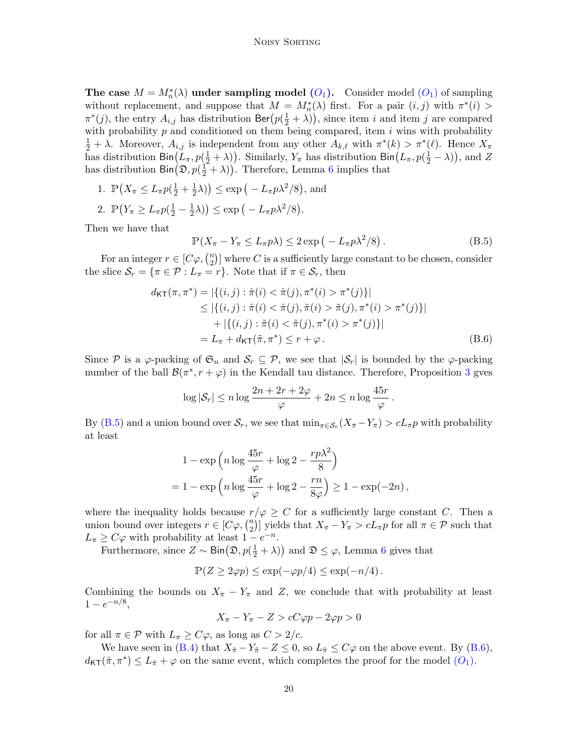The case  $M = M_n^*(\lambda)$  under sampling model  $(O_1)$  $(O_1)$  $(O_1)$ . Consider model  $(O_1)$  of sampling without replacement, and suppose that  $M = M_n^*(\lambda)$  first. For a pair  $(i, j)$  with  $\pi^*(i)$  $\pi^*(j)$ , the entry  $A_{i,j}$  has distribution  $\text{Ber}(p(\frac{1}{2} + \lambda))$ , since item i and item j are compared with probability  $p$  and conditioned on them being compared, item  $i$  wins with probability  $\frac{1}{2} + \lambda$ . Moreover,  $A_{i,j}$  is independent from any other  $A_{k,\ell}$  with  $\pi^*(k) > \pi^*(\ell)$ . Hence  $X_{\pi}$ has distribution  $\text{Bin}(L_\pi, p(\frac{1}{2}+\lambda))$ . Similarly,  $Y_\pi$  has distribution  $\text{Bin}(L_\pi, p(\frac{1}{2}-\lambda))$ , and Z has distribution  $\text{Bin}(\mathfrak{D}, p(\frac{1}{2} + \lambda))$ . Therefore, Lemma [6](#page-16-1) implies that

- 1.  $\mathbb{P}\left(X_{\pi} \leq L_{\pi}p(\frac{1}{2} + \frac{1}{2})\right)$  $(\frac{1}{2}\lambda)$   $\leq$  exp  $(-L_{\pi}p\lambda^2/8)$ , and
- 2.  $\mathbb{P}\left(Y_{\pi} \geq L_{\pi}p\left(\frac{1}{2}-\frac{1}{2}\right)\right)$  $(\frac{1}{2}\lambda)$   $\leq$  exp  $(-L_{\pi}p\lambda^2/8)$ .

Then we have that

<span id="page-19-1"></span><span id="page-19-0"></span>
$$
\mathbb{P}(X_{\pi} - Y_{\pi} \le L_{\pi} p\lambda) \le 2 \exp\left(-L_{\pi} p\lambda^2/8\right). \tag{B.5}
$$

For an integer  $r \in [C\varphi, \binom{n}{2}]$  $\binom{n}{2}$  where C is a sufficiently large constant to be chosen, consider the slice  $S_r = {\pi \in \mathcal{P} : L_{\pi} = r}$ . Note that if  $\pi \in S_r$ , then

$$
d_{\mathsf{KT}}(\pi, \pi^*) = |\{(i, j) : \hat{\pi}(i) < \hat{\pi}(j), \pi^*(i) > \pi^*(j)\}|
$$
\n
$$
\leq |\{(i, j) : \hat{\pi}(i) < \hat{\pi}(j), \tilde{\pi}(i) > \tilde{\pi}(j), \pi^*(i) > \pi^*(j)\}|
$$
\n
$$
+ |\{(i, j) : \tilde{\pi}(i) < \tilde{\pi}(j), \pi^*(i) > \pi^*(j)\}|
$$
\n
$$
= L_{\pi} + d_{\mathsf{KT}}(\tilde{\pi}, \pi^*) \leq r + \varphi. \tag{B.6}
$$

Since P is a  $\varphi$ -packing of  $\mathfrak{S}_n$  and  $\mathcal{S}_r \subseteq \mathcal{P}$ , we see that  $|\mathcal{S}_r|$  is bounded by the  $\varphi$ -packing number of the ball  $\mathcal{B}(\pi^*, r + \varphi)$  in the Kendall tau distance. Therefore, Proposition [3](#page-14-6) gves

$$
\log |\mathcal{S}_r| \le n \log \frac{2n + 2r + 2\varphi}{\varphi} + 2n \le n \log \frac{45r}{\varphi}.
$$

By [\(B.5\)](#page-19-0) and a union bound over  $S_r$ , we see that  $\min_{\pi \in S_r} (X_{\pi} - Y_{\pi}) > cL_{\pi}p$  with probability at least

$$
1 - \exp\left(n\log\frac{45r}{\varphi} + \log 2 - \frac{rp\lambda^2}{8}\right)
$$
  
= 
$$
1 - \exp\left(n\log\frac{45r}{\varphi} + \log 2 - \frac{rn}{8\varphi}\right) \ge 1 - \exp(-2n),
$$

where the inequality holds because  $r/\varphi \geq C$  for a sufficiently large constant C. Then a union bound over integers  $r \in [C\varphi, \binom{n}{2}]$ <sup>n</sup><sub>2</sub>)] yields that  $X_{\pi} - Y_{\pi} > cL_{\pi}p$  for all  $\pi \in \mathcal{P}$  such that  $L_{\pi} \geq C\varphi$  with probability at least  $1 - e^{-n}$ .

Furthermore, since  $Z \sim \text{Bin}(\mathfrak{D}, p(\frac{1}{2} + \lambda))$  and  $\mathfrak{D} \leq \varphi$ , Lemma [6](#page-16-1) gives that

$$
\mathbb{P}(Z \ge 2\varphi p) \le \exp(-\varphi p/4) \le \exp(-n/4).
$$

Combining the bounds on  $X_{\pi} - Y_{\pi}$  and Z, we conclude that with probability at least  $1-e^{-n/8},$ 

$$
X_{\pi} - Y_{\pi} - Z > cC\varphi p - 2\varphi p > 0
$$

for all  $\pi \in \mathcal{P}$  with  $L_{\pi} \geq C\varphi$ , as long as  $C > 2/c$ .

We have seen in [\(B.4\)](#page-18-0) that  $X_{\hat{\pi}} - Y_{\hat{\pi}} - Z \leq 0$ , so  $L_{\hat{\pi}} \leq C\varphi$  on the above event. By [\(B.6\)](#page-19-1),  $d_{\mathsf{KT}}(\hat{\pi}, \pi^*) \leq L_{\hat{\pi}} + \varphi$  on the same event, which completes the proof for the model  $(O_1)$  $(O_1)$  $(O_1)$ .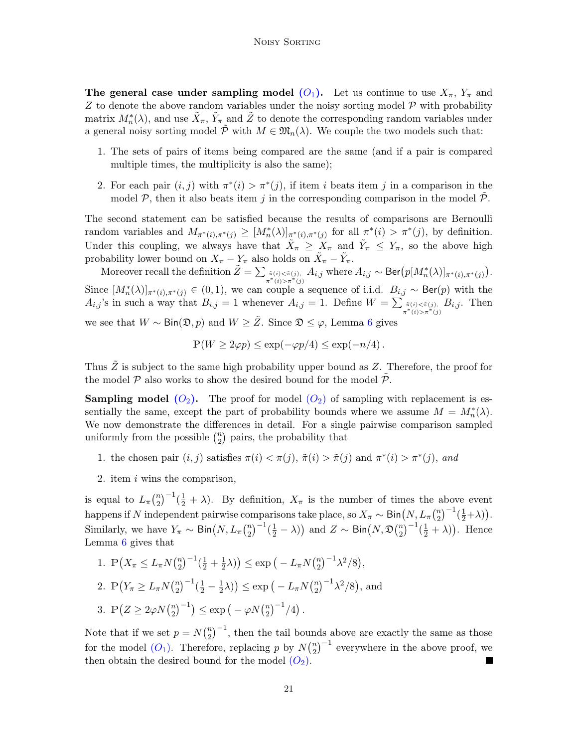The general case under sampling model  $(O_1)$  $(O_1)$  $(O_1)$ . Let us continue to use  $X_{\pi}$ ,  $Y_{\pi}$  and  $Z$  to denote the above random variables under the noisy sorting model  $\mathcal P$  with probability matrix  $M_n^*(\lambda)$ , and use  $\tilde{X}_\pi$ ,  $\tilde{Y}_\pi$  and  $\tilde{Z}$  to denote the corresponding random variables under a general noisy sorting model  $\tilde{\mathcal{P}}$  with  $M \in \mathfrak{M}_n(\lambda)$ . We couple the two models such that:

- 1. The sets of pairs of items being compared are the same (and if a pair is compared multiple times, the multiplicity is also the same);
- 2. For each pair  $(i, j)$  with  $\pi^*(i) > \pi^*(j)$ , if item i beats item j in a comparison in the model  $P$ , then it also beats item j in the corresponding comparison in the model  $P$ .

The second statement can be satisfied because the results of comparisons are Bernoulli random variables and  $M_{\pi^*(i),\pi^*(j)} \geq [M_n^*(\lambda)]_{\pi^*(i),\pi^*(j)}$  for all  $\pi^*(i) > \pi^*(j)$ , by definition. Under this coupling, we always have that  $\tilde{X}_{\pi} \geq X_{\pi}$  and  $\tilde{Y}_{\pi} \leq Y_{\pi}$ , so the above high probability lower bound on  $X_{\pi} - Y_{\pi}$  also holds on  $\tilde{X}_{\pi} - \tilde{Y}_{\pi}$ .

Moreover recall the definition  $\tilde{Z} = \sum_{\tilde{\pi}^{(i)} \leq \tilde{\pi}(j), \atop \pi^*(i) > \pi^*(j)} A_{i,j}$  where  $A_{i,j} \sim \textsf{Ber}(p[M_n^*(\lambda)]_{\pi^*(i), \pi^*(j)})$ . Since  $[M_n^*(\lambda)]_{\pi^*(i),\pi^*(j)} \in (0,1)$ , we can couple a sequence of i.i.d.  $B_{i,j} \sim \text{Ber}(p)$  with the  $A_{i,j}$ 's in such a way that  $B_{i,j} = 1$  whenever  $A_{i,j} = 1$ . Define  $W = \sum_{\substack{\tilde{\pi}(i) < \tilde{\pi}(j) \\ \pi^*(i) > \pi^*(j)}} B_{i,j}$ . Then

we see that  $W \sim Bin(\mathfrak{D}, p)$  and  $W \geq \tilde{Z}$ . Since  $\mathfrak{D} \leq \varphi$ , Lemma [6](#page-16-1) gives

$$
\mathbb{P}(W \ge 2\varphi p) \le \exp(-\varphi p/4) \le \exp(-n/4).
$$

Thus  $\tilde{Z}$  is subject to the same high probability upper bound as  $Z$ . Therefore, the proof for the model  $\mathcal P$  also works to show the desired bound for the model  $\mathcal P$ .

**Sampling model ([O](#page-4-1)<sub>2</sub>).** The proof for model (O<sub>2</sub>) of sampling with replacement is essentially the same, except the part of probability bounds where we assume  $M = M_n^*(\lambda)$ . We now demonstrate the differences in detail. For a single pairwise comparison sampled uniformly from the possible  $\binom{n}{2}$  $\binom{n}{2}$  pairs, the probability that

- 1. the chosen pair  $(i, j)$  satisfies  $\pi(i) < \pi(j)$ ,  $\tilde{\pi}(i) > \tilde{\pi}(j)$  and  $\pi^*(i) > \pi^*(j)$ , and
- 2. item i wins the comparison,

is equal to  $L_{\pi}(\frac{n}{2})$  $\binom{n}{2}$  $^{-1}(\frac{1}{2} + \lambda)$ . By definition,  $X_{\pi}$  is the number of times the above event happens if N independent pairwise comparisons take place, so  $X_{\pi} \sim \text{Bin}(N, L_{\pi} {n \choose 2}^{-1}(\frac{1}{2}+\lambda)).$ 2 Similarly, we have  $Y_{\pi} \sim \text{Bin}(N, L_{\pi}(\frac{n}{2}))$  $\binom{n}{2}^{-1}(\frac{1}{2}-\lambda)$  and  $Z \sim \mathsf{Bin}\big(N, \mathfrak{D}\big(\frac{n}{2}\big)$  $\binom{n}{2}$ <sup>-1</sup> $(\frac{1}{2} + \lambda)$ ). Hence Lemma [6](#page-16-1) gives that

1. 
$$
\mathbb{P}\left(X_{\pi} \leq L_{\pi} N\binom{n}{2}^{-1}(\frac{1}{2} + \frac{1}{2}\lambda)\right) \leq \exp\left(-L_{\pi} N\binom{n}{2}^{-1}\lambda^2/8\right),
$$
  
\n2.  $\mathbb{P}\left(Y_{\pi} \geq L_{\pi} N\binom{n}{2}^{-1}(\frac{1}{2} - \frac{1}{2}\lambda)\right) \leq \exp\left(-L_{\pi} N\binom{n}{2}^{-1}\lambda^2/8\right),$  and  
\n3.  $\mathbb{P}\left(Z \geq 2\varphi N\binom{n}{2}^{-1}\right) \leq \exp\left(-\varphi N\binom{n}{2}^{-1}/4\right).$ 

Note that if we set  $p = N\binom{n}{2}$  $(n<sub>2</sub>)$ <sup>-1</sup>, then the tail bounds above are exactly the same as those for the model  $(O_1)$  $(O_1)$  $(O_1)$ . Therefore, replacing p by  $N\binom{n}{2}$  $\binom{n}{2}^{-1}$  everywhere in the above proof, we then obtain the desired bound for the model  $(O_2)$  $(O_2)$  $(O_2)$ .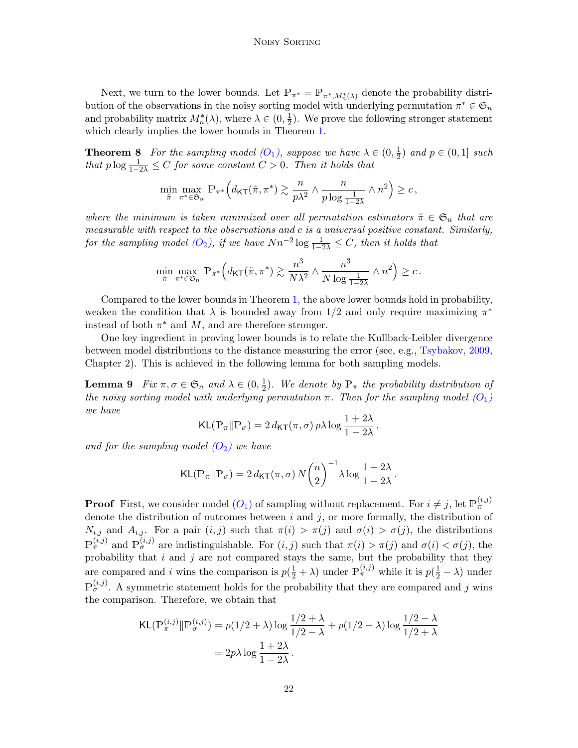Next, we turn to the lower bounds. Let  $\mathbb{P}_{\pi^*} = \mathbb{P}_{\pi^*, M_n^*(\lambda)}$  denote the probability distribution of the observations in the noisy sorting model with underlying permutation  $\pi^* \in \mathfrak{S}_n$ and probability matrix  $M_n^*(\lambda)$ , where  $\lambda \in (0, \frac{1}{2})$  $\frac{1}{2}$ ). We prove the following stronger statement which clearly implies the lower bounds in Theorem [1.](#page-5-1)

<span id="page-21-0"></span>**Theorem 8** For the sampling model  $(O_1)$  $(O_1)$  $(O_1)$ , suppose we have  $\lambda \in (0, \frac{1}{2})$  $(\frac{1}{2})$  and  $p \in (0,1]$  such that  $p \log \frac{1}{1-2\lambda} \leq C$  for some constant  $C > 0$ . Then it holds that

$$
\min_{\tilde{\pi}}\max_{\pi^*\in\mathfrak{S}_n}\,\mathbb{P}_{\pi^*}\Big(d_{\mathsf{KT}}(\tilde{\pi},\pi^*)\gtrsim \frac{n}{p\lambda^2}\wedge\frac{n}{p\log\frac{1}{1-2\lambda}}\wedge n^2\Big)\geq c\,,
$$

where the minimum is taken minimized over all permutation estimators  $\tilde{\pi} \in \mathfrak{S}_n$  that are measurable with respect to the observations and c is a universal positive constant. Similarly, for the sampling model  $(O_2)$  $(O_2)$  $(O_2)$ , if we have  $Nn^{-2}\log\frac{1}{1-2\lambda} \leq C$ , then it holds that

$$
\min_{\tilde{\pi}} \max_{\pi^* \in \mathfrak{S}_n} \mathbb{P}_{\pi^*} \Big( d_{\mathsf{KT}}(\tilde{\pi}, \pi^*) \gtrsim \frac{n^3}{N \lambda^2} \wedge \frac{n^3}{N \log \frac{1}{1-2\lambda}} \wedge n^2 \Big) \geq c \, .
$$

Compared to the lower bounds in Theorem [1,](#page-5-1) the above lower bounds hold in probability, weaken the condition that  $\lambda$  is bounded away from 1/2 and only require maximizing  $\pi^*$ instead of both  $\pi^*$  and  $M$ , and are therefore stronger.

One key ingredient in proving lower bounds is to relate the Kullback-Leibler divergence between model distributions to the distance measuring the error (see, e.g., [Tsybakov,](#page-14-8) [2009,](#page-14-8) Chapter 2). This is achieved in the following lemma for both sampling models.

<span id="page-21-1"></span>**Lemma 9** Fix  $\pi, \sigma \in \mathfrak{S}_n$  and  $\lambda \in (0, \frac{1}{2})$  $\frac{1}{2}$ ). We denote by  $\mathbb{P}_{\pi}$  the probability distribution of the noisy sorting model with underlying permutation  $\pi$ . Then for the sampling model  $(O_1)$  $(O_1)$  $(O_1)$ we have

$$
\mathsf{KL}(\mathbb{P}_{\pi} \| \mathbb{P}_{\sigma}) = 2 d_{\mathsf{KT}}(\pi, \sigma) p \lambda \log \frac{1 + 2\lambda}{1 - 2\lambda},
$$

and for the sampling model  $(O_2)$  $(O_2)$  $(O_2)$  we have

$$
\mathsf{KL}(\mathbb{P}_{\pi} \| \mathbb{P}_{\sigma}) = 2 d_{\mathsf{KT}}(\pi, \sigma) N {n \choose 2}^{-1} \lambda \log \frac{1 + 2\lambda}{1 - 2\lambda}
$$

.

**Proof** First, we consider model  $(O_1)$  $(O_1)$  $(O_1)$  of sampling without replacement. For  $i \neq j$ , let  $\mathbb{P}^{(i,j)}_{\pi}$ denote the distribution of outcomes between  $i$  and  $j$ , or more formally, the distribution of  $N_{i,j}$  and  $A_{i,j}$ . For a pair  $(i,j)$  such that  $\pi(i) > \pi(j)$  and  $\sigma(i) > \sigma(j)$ , the distributions  $\mathbb{P}^{(i,j)}_{\pi}$  and  $\mathbb{P}^{(i,j)}_{\sigma}$  are indistinguishable. For  $(i,j)$  such that  $\pi(i) > \pi(j)$  and  $\sigma(i) < \sigma(j)$ , the probability that  $i$  and  $j$  are not compared stays the same, but the probability that they are compared and i wins the comparison is  $p(\frac{1}{2} + \lambda)$  under  $\mathbb{P}^{(i,j)}_{\pi}$  while it is  $p(\frac{1}{2} - \lambda)$  under  $\mathbb{P}_{\sigma}^{(i,j)}$ . A symmetric statement holds for the probability that they are compared and j wins the comparison. Therefore, we obtain that

$$
\mathsf{KL}(\mathbb{P}_{\pi}^{(i,j)} \| \mathbb{P}_{\sigma}^{(i,j)}) = p(1/2 + \lambda) \log \frac{1/2 + \lambda}{1/2 - \lambda} + p(1/2 - \lambda) \log \frac{1/2 - \lambda}{1/2 + \lambda}
$$

$$
= 2p\lambda \log \frac{1+2\lambda}{1-2\lambda}.
$$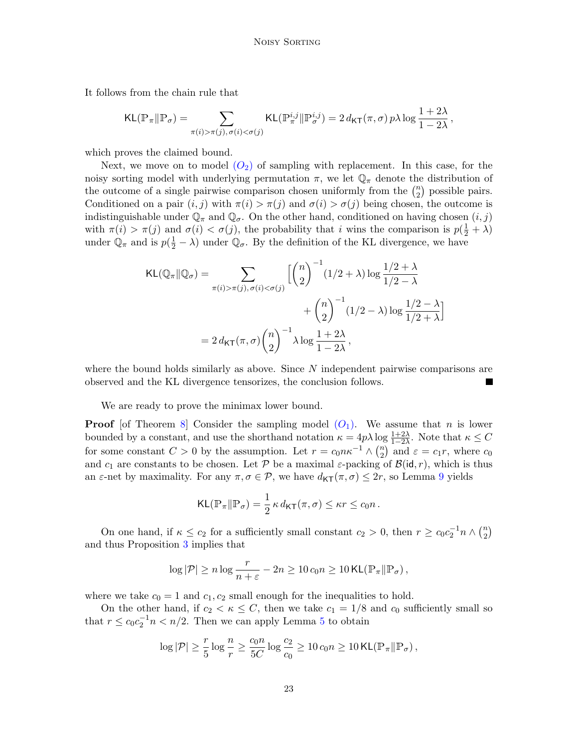It follows from the chain rule that

$$
\mathsf{KL}(\mathbb{P}_\pi \| \mathbb{P}_\sigma) = \sum_{\pi(i) > \pi(j), \, \sigma(i) < \sigma(j)} \mathsf{KL}(\mathbb{P}_\pi^{i,j} \| \mathbb{P}_\sigma^{i,j}) = 2 \, d_{\mathsf{KT}}(\pi,\sigma) \, p \lambda \log \frac{1+2\lambda}{1-2\lambda}
$$

,

which proves the claimed bound.

Next, we move on to model  $(O_2)$  $(O_2)$  $(O_2)$  of sampling with replacement. In this case, for the noisy sorting model with underlying permutation  $\pi$ , we let  $\mathbb{Q}_{\pi}$  denote the distribution of the outcome of a single pairwise comparison chosen uniformly from the  $\binom{n}{2}$  $n \choose 2$  possible pairs. Conditioned on a pair  $(i, j)$  with  $\pi(i) > \pi(j)$  and  $\sigma(i) > \sigma(j)$  being chosen, the outcome is indistinguishable under  $\mathbb{Q}_{\pi}$  and  $\mathbb{Q}_{\sigma}$ . On the other hand, conditioned on having chosen  $(i, j)$ with  $\pi(i) > \pi(j)$  and  $\sigma(i) < \sigma(j)$ , the probability that i wins the comparison is  $p(\frac{1}{2} + \lambda)$ under  $\mathbb{Q}_{\pi}$  and is  $p(\frac{1}{2} - \lambda)$  under  $\mathbb{Q}_{\sigma}$ . By the definition of the KL divergence, we have

$$
\mathsf{KL}(\mathbb{Q}_{\pi} \| \mathbb{Q}_{\sigma}) = \sum_{\pi(i) > \pi(j), \sigma(i) < \sigma(j)} \left[ \binom{n}{2}^{-1} (1/2 + \lambda) \log \frac{1/2 + \lambda}{1/2 - \lambda} + \binom{n}{2}^{-1} (1/2 - \lambda) \log \frac{1/2 - \lambda}{1/2 + \lambda} \right]
$$

$$
= 2 d_{\mathsf{KT}}(\pi, \sigma) \binom{n}{2}^{-1} \lambda \log \frac{1 + 2\lambda}{1 - 2\lambda},
$$

where the bound holds similarly as above. Since  $N$  independent pairwise comparisons are observed and the KL divergence tensorizes, the conclusion follows.

We are ready to prove the minimax lower bound.

**Proof** [of Theorem [8\]](#page-21-0) Consider the sampling model  $(O_1)$  $(O_1)$  $(O_1)$ . We assume that *n* is lower bounded by a constant, and use the shorthand notation  $\kappa = 4p\lambda \log \frac{1+2\lambda}{1-2\lambda}$ . Note that  $\kappa \leq C$ for some constant  $C > 0$  by the assumption. Let  $r = c_0 n \kappa^{-1} \wedge {n \choose 2}$  $\binom{n}{2}$  and  $\varepsilon = c_1 r$ , where  $c_0$ and  $c_1$  are constants to be chosen. Let P be a maximal  $\varepsilon$ -packing of  $\mathcal{B}(\mathsf{id}, r)$ , which is thus an  $\varepsilon$ -net by maximality. For any  $\pi, \sigma \in \mathcal{P}$ , we have  $d_{\mathsf{KT}}(\pi, \sigma) \leq 2r$ , so Lemma [9](#page-21-1) yields

$$
\mathsf{KL}(\mathbb{P}_{\pi} \| \mathbb{P}_{\sigma}) = \frac{1}{2} \kappa \, d_{\mathsf{KT}}(\pi, \sigma) \leq \kappa r \leq c_0 n \, .
$$

On one hand, if  $\kappa \leq c_2$  for a sufficiently small constant  $c_2 > 0$ , then  $r \geq c_0 c_2^{-1} n \wedge {n \choose 2}$  $\binom{n}{2}$ and thus Proposition [3](#page-14-6) implies that

$$
\log |\mathcal{P}| \geq n \log \frac{r}{n+\varepsilon} - 2n \geq 10 \, c_0 n \geq 10 \, \text{KL}(\mathbb{P}_\pi \| \mathbb{P}_\sigma),
$$

where we take  $c_0 = 1$  and  $c_1, c_2$  small enough for the inequalities to hold.

On the other hand, if  $c_2 < \kappa \leq C$ , then we take  $c_1 = 1/8$  and  $c_0$  sufficiently small so that  $r \leq c_0 c_2^{-1} n < n/2$ . Then we can apply Lemma [5](#page-16-2) to obtain

$$
\log |\mathcal{P}| \geq \frac{r}{5} \log \frac{n}{r} \geq \frac{c_0 n}{5C} \log \frac{c_2}{c_0} \geq 10 \, c_0 n \geq 10 \, \text{KL}(\mathbb{P}_\pi \| \mathbb{P}_\sigma),
$$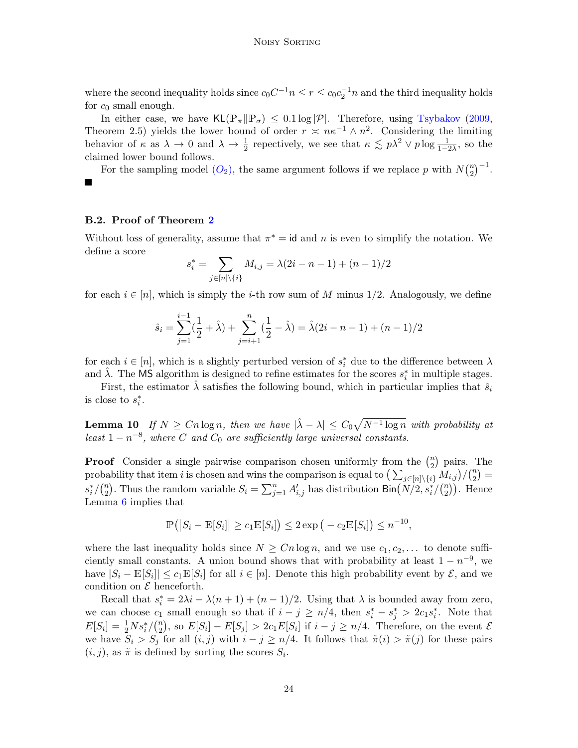where the second inequality holds since  $c_0C^{-1}n \le r \le c_0c_2^{-1}n$  and the third inequality holds for  $c_0$  small enough.

In either case, we have  $KL(\mathbb{P}_{\pi}|\mathbb{P}_{\sigma}) \leq 0.1 \log |\mathcal{P}|$ . Therefore, using [Tsybakov](#page-14-8) [\(2009,](#page-14-8) Theorem 2.5) yields the lower bound of order  $r \approx n\kappa^{-1} \wedge n^2$ . Considering the limiting behavior of  $\kappa$  as  $\lambda \to 0$  and  $\lambda \to \frac{1}{2}$  repectively, we see that  $\kappa \lesssim p\lambda^2 \vee p \log \frac{1}{1-2\lambda}$ , so the claimed lower bound follows.

 ${n \choose 2}^{-1}.$ For the sampling model  $(O_2)$  $(O_2)$  $(O_2)$ , the same argument follows if we replace p with  $N\binom{n}{2}$ ш

# B.2. Proof of Theorem [2](#page-8-1)

Without loss of generality, assume that  $\pi^* = id$  and n is even to simplify the notation. We define a score

$$
s_i^* = \sum_{j \in [n] \setminus \{i\}} M_{i,j} = \lambda(2i - n - 1) + (n - 1)/2
$$

for each  $i \in [n]$ , which is simply the *i*-th row sum of M minus 1/2. Analogously, we define

$$
\hat{s}_i = \sum_{j=1}^{i-1} \left(\frac{1}{2} + \hat{\lambda}\right) + \sum_{j=i+1}^{n} \left(\frac{1}{2} - \hat{\lambda}\right) = \hat{\lambda}(2i - n - 1) + (n - 1)/2
$$

for each  $i \in [n]$ , which is a slightly perturbed version of  $s_i^*$  due to the difference between  $\lambda$ and  $\hat{\lambda}$ . The MS algorithm is designed to refine estimates for the scores  $s_i^*$  in multiple stages.

First, the estimator  $\lambda$  satisfies the following bound, which in particular implies that  $\hat{s}_i$ is close to  $s_i^*$ .

<span id="page-23-0"></span>**Lemma 10** If  $N \geq Cn \log n$ , then we have  $|\hat{\lambda} - \lambda| \leq C_0 \sqrt{N^{-1} \log n}$  with probability at least  $1 - n^{-8}$ , where C and  $C_0$  are sufficiently large universal constants.

**Proof** Consider a single pairwise comparison chosen uniformly from the  $\binom{n}{2}$  $\binom{n}{2}$  pairs. The probability that item i is chosen and wins the comparison is equal to  $\left(\sum_{j\in[n]\setminus\{i\}} M_{i,j}\right)/\binom{n}{2}$  $\binom{n}{2}$  =  $s_i^*/\binom{n}{2}$ <sup>n</sup><sub>2</sub>). Thus the random variable  $S_i = \sum_{j=1}^n A'_{i,j}$  has distribution  $\text{Bin}(N/2, s_i^*/\binom{n}{2})$  $n \choose 2$ ). Hence Lemma [6](#page-16-1) implies that

$$
\mathbb{P}\left(\left|S_i - \mathbb{E}[S_i]\right| \geq c_1 \mathbb{E}[S_i]\right) \leq 2 \exp\left(-c_2 \mathbb{E}[S_i]\right) \leq n^{-10},
$$

where the last inequality holds since  $N \geq C n \log n$ , and we use  $c_1, c_2, \ldots$  to denote sufficiently small constants. A union bound shows that with probability at least  $1 - n^{-9}$ , we have  $|S_i - \mathbb{E}[S_i]| \leq c_1 \mathbb{E}[S_i]$  for all  $i \in [n]$ . Denote this high probability event by  $\mathcal{E}$ , and we condition on  $\mathcal E$  henceforth.

Recall that  $s_i^* = 2\lambda i - \lambda (n+1) + (n-1)/2$ . Using that  $\lambda$  is bounded away from zero, we can choose  $c_1$  small enough so that if  $i - j \ge n/4$ , then  $s_i^* - s_j^* > 2c_1s_i^*$ . Note that  $E[S_i] = \frac{1}{2} N s_i^* / \binom{n}{2}$  $\mathbb{E}[S_i] - E[S_j] > 2c_1E[S_i]$  if  $i - j \geq n/4$ . Therefore, on the event  $\mathcal{E}[S_i]$ we have  $S_i > S_j$  for all  $(i, j)$  with  $i - j \geq n/4$ . It follows that  $\tilde{\pi}(i) > \tilde{\pi}(j)$  for these pairs  $(i, j)$ , as  $\tilde{\pi}$  is defined by sorting the scores  $S_i$ .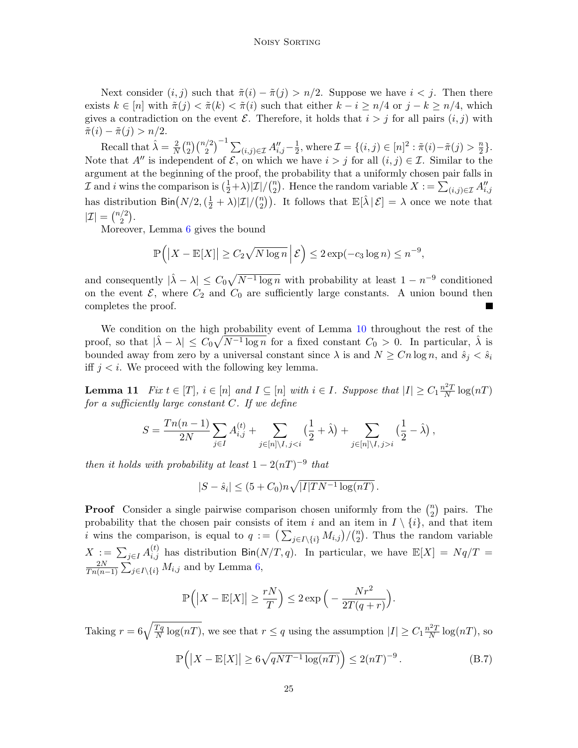Next consider  $(i, j)$  such that  $\tilde{\pi}(i) - \tilde{\pi}(j) > n/2$ . Suppose we have  $i < j$ . Then there exists  $k \in [n]$  with  $\tilde{\pi}(j) < \tilde{\pi}(k) < \tilde{\pi}(i)$  such that either  $k - i \geq n/4$  or  $j - k \geq n/4$ , which gives a contradiction on the event  $\mathcal E$ . Therefore, it holds that  $i > j$  for all pairs  $(i, j)$  with  $\tilde{\pi}(i) - \tilde{\pi}(j) > n/2.$ 

Recall that  $\hat{\lambda} = \frac{2}{N}$  $\frac{2}{N}$  $\binom{n}{2}$  $\sum_{(i,j)\in\mathcal{I}}A_{i,j}''-\frac{1}{2}$  $\frac{1}{2}$ , where  $\mathcal{I} = \{(i, j) \in [n]^2 : \tilde{\pi}(i) - \tilde{\pi}(j) > \frac{n}{2}$  $\frac{n}{2}$ . Note that A'' is independent of  $\mathcal{E}$ , on which we have  $i > j$  for all  $(i, j) \in \mathcal{I}$ . Similar to the argument at the beginning of the proof, the probability that a uniformly chosen pair falls in  $\mathcal I$  and i wins the comparison is  $(\frac{1}{2}+\lambda)|\mathcal I|/(\frac{n}{2})$ <sup>n</sup><sub>2</sub>). Hence the random variable  $X := \sum_{(i,j) \in \mathcal{I}} A''_{i,j}$ has distribution  $\textsf{Bin}\big(N/2, (\frac{1}{2} + \lambda) | \mathcal{I} | / \binom{n}{2}$  $\binom{n}{2}$ . It follows that  $\mathbb{E}[\hat{\lambda} | \mathcal{E}] = \lambda$  once we note that  $|\mathcal{I}| = \binom{n/2}{2}$  $\binom{2}{2}$ .

Moreover, Lemma [6](#page-16-1) gives the bound

$$
\mathbb{P}\left(\left|X - \mathbb{E}[X]\right| \ge C_2 \sqrt{N \log n} \, \middle| \, \mathcal{E}\right) \le 2 \exp(-c_3 \log n) \le n^{-9},
$$

and consequently  $|\hat{\lambda} - \lambda| \leq C_0 \sqrt{N^{-1} \log n}$  with probability at least  $1 - n^{-9}$  conditioned on the event  $\mathcal{E}$ , where  $C_2$  and  $C_0$  are sufficiently large constants. A union bound then completes the proof.

We condition on the high probability event of Lemma [10](#page-23-0) throughout the rest of the proof, so that  $|\hat{\lambda} - \lambda| \leq C_0 \sqrt{N^{-1} \log n}$  for a fixed constant  $C_0 > 0$ . In particular,  $\hat{\lambda}$  is bounded away from zero by a universal constant since  $\lambda$  is and  $N \geq C_n \log n$ , and  $\hat{s}_j < \hat{s}_i$ iff  $j < i$ . We proceed with the following key lemma.

<span id="page-24-0"></span>**Lemma 11** Fix  $t \in [T]$ ,  $i \in [n]$  and  $I \subseteq [n]$  with  $i \in I$ . Suppose that  $|I| \geq C_1 \frac{n^2 T}{N}$  $\frac{N^2T}{N}\log(nT)$ for a sufficiently large constant  $C$ . If we define

$$
S = \frac{Tn(n-1)}{2N} \sum_{j \in I} A_{i,j}^{(t)} + \sum_{j \in [n] \setminus I, j < i} \left( \frac{1}{2} + \hat{\lambda} \right) + \sum_{j \in [n] \setminus I, j > i} \left( \frac{1}{2} - \hat{\lambda} \right),
$$

then it holds with probability at least  $1 - 2(nT)^{-9}$  that

$$
|S - \hat{s}_i| \le (5 + C_0)n\sqrt{|I|TN^{-1}\log(nT)}.
$$

**Proof** Consider a single pairwise comparison chosen uniformly from the  $\binom{n}{2}$  $n \choose 2$  pairs. The probability that the chosen pair consists of item i and an item in  $I \setminus \{i\}$ , and that item *i* wins the comparison, is equal to  $q := (\sum_{j \in I \setminus \{i\}} M_{i,j})/(n \choose 2)$  $n_2$ ). Thus the random variable  $X := \sum_{j\in I} A_{i,j}^{(t)}$  has distribution  $\text{Bin}(N/T, q)$ . In particular, we have  $\mathbb{E}[X] = Nq/T =$  $2N$  $\frac{2N}{Tn(n-1)}\sum_{j\in I\setminus\{i\}}M_{i,j}$  and by Lemma [6,](#page-16-1)

$$
\mathbb{P}\left(\left|X - \mathbb{E}[X]\right| \ge \frac{rN}{T}\right) \le 2\exp\left(-\frac{Nr^2}{2T(q+r)}\right).
$$

Taking  $r = 6\sqrt{\frac{Tq}{N}}$  $\frac{Tq}{N} \log(nT)$ , we see that  $r \leq q$  using the assumption  $|I| \geq C_1 \frac{n^2T}{N}$  $\frac{N^2T}{N} \log(nT)$ , so

<span id="page-24-1"></span>
$$
\mathbb{P}\left(\left|X - \mathbb{E}[X]\right| \ge 6\sqrt{qNT^{-1}\log(nT)}\right) \le 2(nT)^{-9}.
$$
\n(B.7)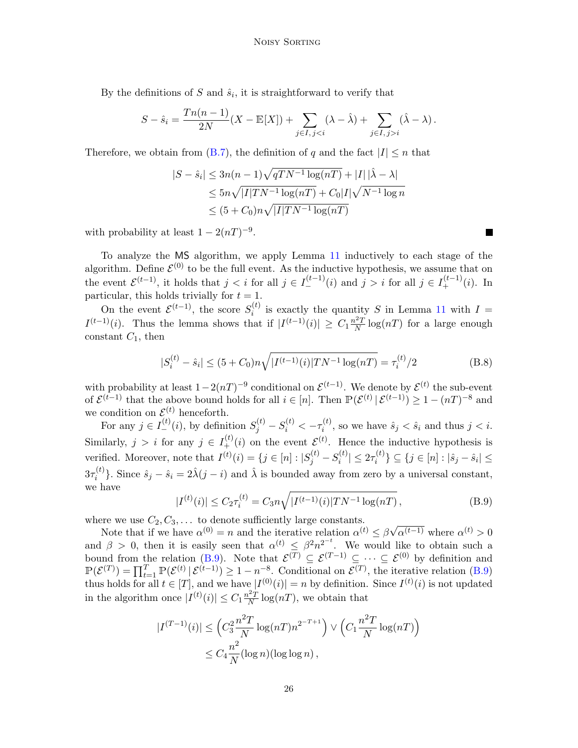By the definitions of S and  $\hat{s}_i$ , it is straightforward to verify that

$$
S - \hat{s}_i = \frac{Tn(n-1)}{2N}(X - \mathbb{E}[X]) + \sum_{j \in I, j < i} (\lambda - \hat{\lambda}) + \sum_{j \in I, j > i} (\hat{\lambda} - \lambda).
$$

Therefore, we obtain from [\(B.7\)](#page-24-1), the definition of q and the fact  $|I| \leq n$  that

$$
|S - \hat{s}_i| \le 3n(n-1)\sqrt{qTN^{-1}\log(nT)} + |I||\hat{\lambda} - \lambda|
$$
  
\n
$$
\le 5n\sqrt{|I|TN^{-1}\log(nT)} + C_0|I|\sqrt{N^{-1}\log n}
$$
  
\n
$$
\le (5 + C_0)n\sqrt{|I|TN^{-1}\log(nT)}
$$

with probability at least  $1 - 2(nT)^{-9}$ .

To analyze the MS algorithm, we apply Lemma [11](#page-24-0) inductively to each stage of the algorithm. Define  $\mathcal{E}^{(0)}$  to be the full event. As the inductive hypothesis, we assume that on the event  $\mathcal{E}^{(t-1)}$ , it holds that  $j < i$  for all  $j \in I_{-}^{(t-1)}(i)$  and  $j > i$  for all  $j \in I_{+}^{(t-1)}(i)$ . In particular, this holds trivially for  $t = 1$ .

On the event  $\mathcal{E}^{(t-1)}$ , the score  $S_i^{(t)}$  $i^{(l)}$  is exactly the quantity S in Lemma [11](#page-24-0) with  $I =$  $I^{(t-1)}(i)$ . Thus the lemma shows that if  $|I^{(t-1)}(i)| \geq C_1 \frac{n^2 T}{N}$  $\frac{N^2T}{N} \log(nT)$  for a large enough constant  $C_1$ , then

<span id="page-25-1"></span>
$$
|S_i^{(t)} - \hat{s}_i| \le (5 + C_0)n\sqrt{|I^{(t-1)}(i)|TN^{-1}\log(nT)} = \tau_i^{(t)}/2
$$
 (B.8)

with probability at least  $1-2(nT)^{-9}$  conditional on  $\mathcal{E}^{(t-1)}$ . We denote by  $\mathcal{E}^{(t)}$  the sub-event of  $\mathcal{E}^{(t-1)}$  that the above bound holds for all  $i \in [n]$ . Then  $\mathbb{P}(\mathcal{E}^{(t)} | \mathcal{E}^{(t-1)}) \geq 1 - (nT)^{-8}$  and we condition on  $\mathcal{E}^{(t)}$  henceforth.

For any  $j \in I_{-}^{(t)}(i)$ , by definition  $S_{j}^{(t)} - S_{i}^{(t)} < -\tau_{i}^{(t)}$  $\hat{s}_i^{(t)}$ , so we have  $\hat{s}_j < \hat{s}_i$  and thus  $j < i$ . Similarly,  $j > i$  for any  $j \in I_{+}^{(t)}(i)$  on the event  $\mathcal{E}^{(t)}$ . Hence the inductive hypothesis is verified. Moreover, note that  $I^{(t)}(i) = \{j \in [n] : |S_j^{(t)} - S_i^{(t)}| \}$  $||x_i^{(t)}|| \leq 2\tau_i^{(t)}$  $\{i^{(t)}\} \subseteq \{j \in [n] : |\hat{s}_j - \hat{s}_i| \leq$  $3\tau_i^{(t)}$ <sup>(t)</sup>). Since  $\hat{s}_j - \hat{s}_i = 2\hat{\lambda}(j - i)$  and  $\hat{\lambda}$  is bounded away from zero by a universal constant, we have

<span id="page-25-0"></span>
$$
|I^{(t)}(i)| \le C_2 \tau_i^{(t)} = C_3 n \sqrt{|I^{(t-1)}(i)|TN^{-1}\log(nT)},
$$
\n(B.9)

where we use  $C_2, C_3, \ldots$  to denote sufficiently large constants.

Note that if we have  $\alpha^{(0)} = n$  and the iterative relation  $\alpha^{(t)} \leq \beta$ √  $\alpha^{(t-1)}$  where  $\alpha^{(t)} > 0$ and  $\beta > 0$ , then it is easily seen that  $\alpha^{(t)} \leq \beta^2 n^{2^{-t}}$ . We would like to obtain such a bound from the relation [\(B.9\)](#page-25-0). Note that  $\mathcal{E}^{(T)} \subseteq \mathcal{E}^{(T-1)} \subseteq \cdots \subseteq \mathcal{E}^{(0)}$  by definition and  $\mathbb{P}(\mathcal{E}^{(T)}) = \prod_{t=1}^{T} \mathbb{P}(\mathcal{E}^{(t)} | \mathcal{E}^{(t-1)}) \geq 1 - n^{-8}$ . Conditional on  $\mathcal{E}^{(T)}$ , the iterative relation [\(B.9\)](#page-25-0) thus holds for all  $t \in [T]$ , and we have  $|I^{(0)}(i)| = n$  by definition. Since  $I^{(t)}(i)$  is not updated in the algorithm once  $|I^{(t)}(i)| \leq C_1 \frac{n^2 T}{N}$  $\frac{L^2 T}{N} \log(nT)$ , we obtain that

$$
|I^{(T-1)}(i)| \leq \left(C_3^2 \frac{n^2 T}{N} \log(nT) n^{2^{-T+1}}\right) \vee \left(C_1 \frac{n^2 T}{N} \log(nT)\right)
$$
  

$$
\leq C_4 \frac{n^2}{N} (\log n)(\log \log n),
$$

**The Second Service**